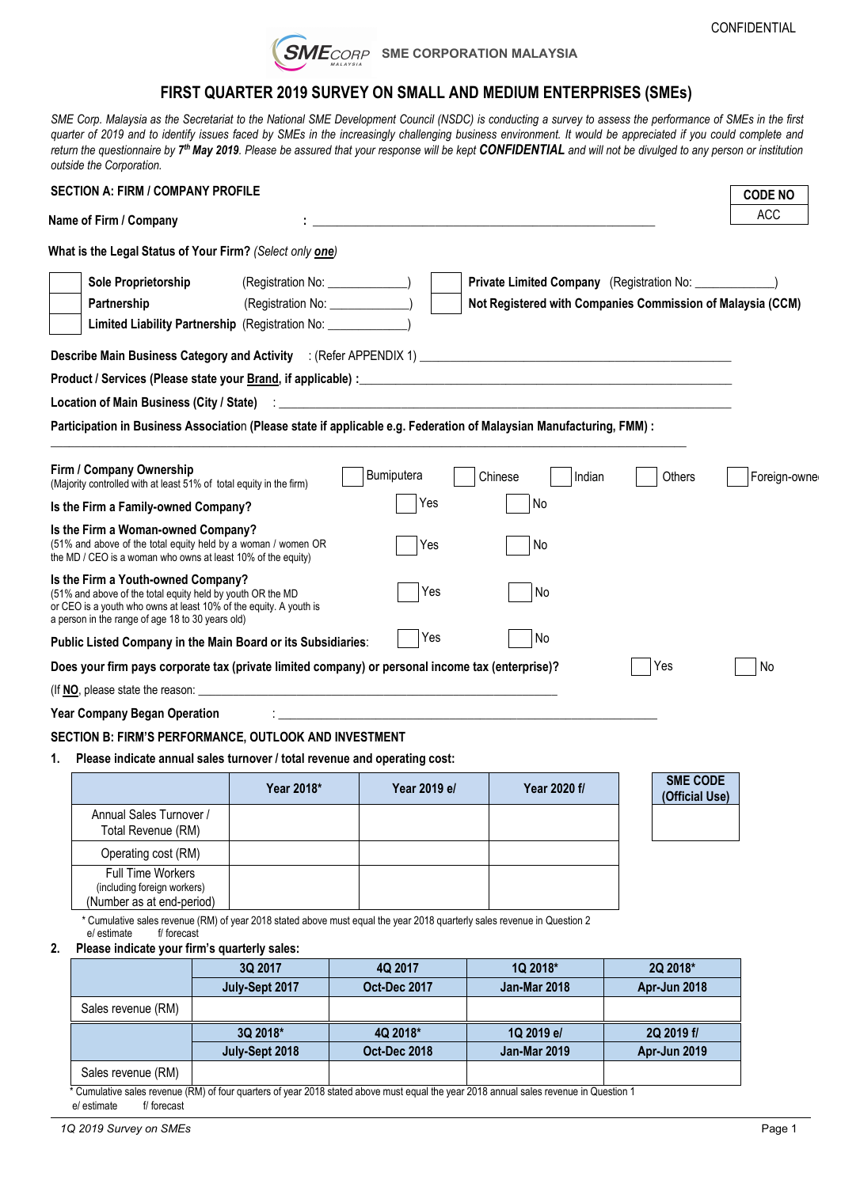

### **FIRST QUARTER 2019 SURVEY ON SMALL AND MEDIUM ENTERPRISES (SMEs)**

SME Corp. Malaysia as the Secretariat to the National SME Development Council (NSDC) is conducting a survey to assess the performance of SMEs in the first quarter of 2019 and to identify issues faced by SMEs in the increasingly challenging business environment. It would be appreciated if you could complete and return the questionnaire by **7th May 2019**. Please be assured that your response will be kept **CONFIDENTIAL** and will not be divulged to any person or institution *outside the Corporation.*

| <b>SECTION A: FIRM / COMPANY PROFILE</b>                                                                                                                                                                                                                                                                                                                                                                                                                                                                                                   |                                    |                                 |                                                            |                                   | <b>CODE NO</b> |
|--------------------------------------------------------------------------------------------------------------------------------------------------------------------------------------------------------------------------------------------------------------------------------------------------------------------------------------------------------------------------------------------------------------------------------------------------------------------------------------------------------------------------------------------|------------------------------------|---------------------------------|------------------------------------------------------------|-----------------------------------|----------------|
| Name of Firm / Company                                                                                                                                                                                                                                                                                                                                                                                                                                                                                                                     |                                    |                                 |                                                            |                                   | <b>ACC</b>     |
| What is the Legal Status of Your Firm? (Select only one)                                                                                                                                                                                                                                                                                                                                                                                                                                                                                   |                                    |                                 |                                                            |                                   |                |
| Sole Proprietorship                                                                                                                                                                                                                                                                                                                                                                                                                                                                                                                        | (Registration No: _______________) |                                 |                                                            |                                   |                |
| Partnership                                                                                                                                                                                                                                                                                                                                                                                                                                                                                                                                | (Registration No: ______________)  |                                 | Not Registered with Companies Commission of Malaysia (CCM) |                                   |                |
| Limited Liability Partnership (Registration No: ________________)                                                                                                                                                                                                                                                                                                                                                                                                                                                                          |                                    |                                 |                                                            |                                   |                |
| Describe Main Business Category and Activity : (Refer APPENDIX 1) [2008] [2008] [2008] [2008] [2008] [2009] [2008] [2009] [2009] [2009] [2009] [2009] [2009] [2009] [2009] [2009] [2009] [2009] [2009] [2009] [2009] [2009] [2                                                                                                                                                                                                                                                                                                             |                                    |                                 |                                                            |                                   |                |
|                                                                                                                                                                                                                                                                                                                                                                                                                                                                                                                                            |                                    |                                 |                                                            |                                   |                |
|                                                                                                                                                                                                                                                                                                                                                                                                                                                                                                                                            |                                    |                                 |                                                            |                                   |                |
| Participation in Business Association (Please state if applicable e.g. Federation of Malaysian Manufacturing, FMM) :                                                                                                                                                                                                                                                                                                                                                                                                                       |                                    |                                 |                                                            |                                   |                |
| Firm / Company Ownership<br>(Majority controlled with at least 51% of total equity in the firm)<br>Is the Firm a Family-owned Company?<br>Is the Firm a Woman-owned Company?<br>(51% and above of the total equity held by a woman / women OR<br>the MD / CEO is a woman who owns at least 10% of the equity)<br>Is the Firm a Youth-owned Company?<br>(51% and above of the total equity held by youth OR the MD<br>or CEO is a youth who owns at least 10% of the equity. A youth is<br>a person in the range of age 18 to 30 years old) |                                    | Bumiputera<br>Yes<br>Yes<br>Yes | Chinese<br>Indian<br>No<br>No<br>No                        | Others                            | Foreign-owner  |
| Public Listed Company in the Main Board or its Subsidiaries:                                                                                                                                                                                                                                                                                                                                                                                                                                                                               |                                    | Yes                             | l No                                                       |                                   |                |
| Does your firm pays corporate tax (private limited company) or personal income tax (enterprise)?                                                                                                                                                                                                                                                                                                                                                                                                                                           |                                    |                                 |                                                            | Yes                               | No             |
|                                                                                                                                                                                                                                                                                                                                                                                                                                                                                                                                            |                                    |                                 |                                                            |                                   |                |
| <b>Year Company Began Operation</b>                                                                                                                                                                                                                                                                                                                                                                                                                                                                                                        |                                    |                                 |                                                            |                                   |                |
| SECTION B: FIRM'S PERFORMANCE, OUTLOOK AND INVESTMENT                                                                                                                                                                                                                                                                                                                                                                                                                                                                                      |                                    |                                 |                                                            |                                   |                |
| 1. Please indicate annual sales turnover / total revenue and operating cost:                                                                                                                                                                                                                                                                                                                                                                                                                                                               |                                    |                                 |                                                            |                                   |                |
|                                                                                                                                                                                                                                                                                                                                                                                                                                                                                                                                            | Year 2018*                         | Year 2019 e/                    | Year 2020 f/                                               | <b>SME CODE</b><br>(Official Use) |                |
| Annual Colon Turnover                                                                                                                                                                                                                                                                                                                                                                                                                                                                                                                      |                                    |                                 |                                                            |                                   |                |

|                                                                                      | Year 2018* | Year 2019 e/ | Year 2020 f/ | (Official Use |
|--------------------------------------------------------------------------------------|------------|--------------|--------------|---------------|
| Annual Sales Turnover /<br>Total Revenue (RM)                                        |            |              |              |               |
| Operating cost (RM)                                                                  |            |              |              |               |
| <b>Full Time Workers</b><br>(including foreign workers)<br>(Number as at end-period) |            |              |              |               |

\* Cumulative sales revenue (RM) of year 2018 stated above must equal the year 2018 quarterly sales revenue in Question 2

e/ estimate

#### **2. Please indicate your firm's quarterly sales:**

|                    | 3Q 2017        | 4Q 2017             | 1Q 2018*            | 2Q 2018*            |
|--------------------|----------------|---------------------|---------------------|---------------------|
|                    | July-Sept 2017 | <b>Oct-Dec 2017</b> | <b>Jan-Mar 2018</b> | <b>Apr-Jun 2018</b> |
| Sales revenue (RM) |                |                     |                     |                     |
|                    | 3Q 2018*       | 4Q 2018*            | 1Q 2019 e/          | 2Q 2019 f/          |
|                    | July-Sept 2018 | <b>Oct-Dec 2018</b> | <b>Jan-Mar 2019</b> | <b>Apr-Jun 2019</b> |
| Sales revenue (RM) |                |                     |                     |                     |

\* Cumulative sales revenue (RM) of four quarters of year 2018 stated above must equal the year 2018 annual sales revenue in Question 1 e/ estimate f/ forecast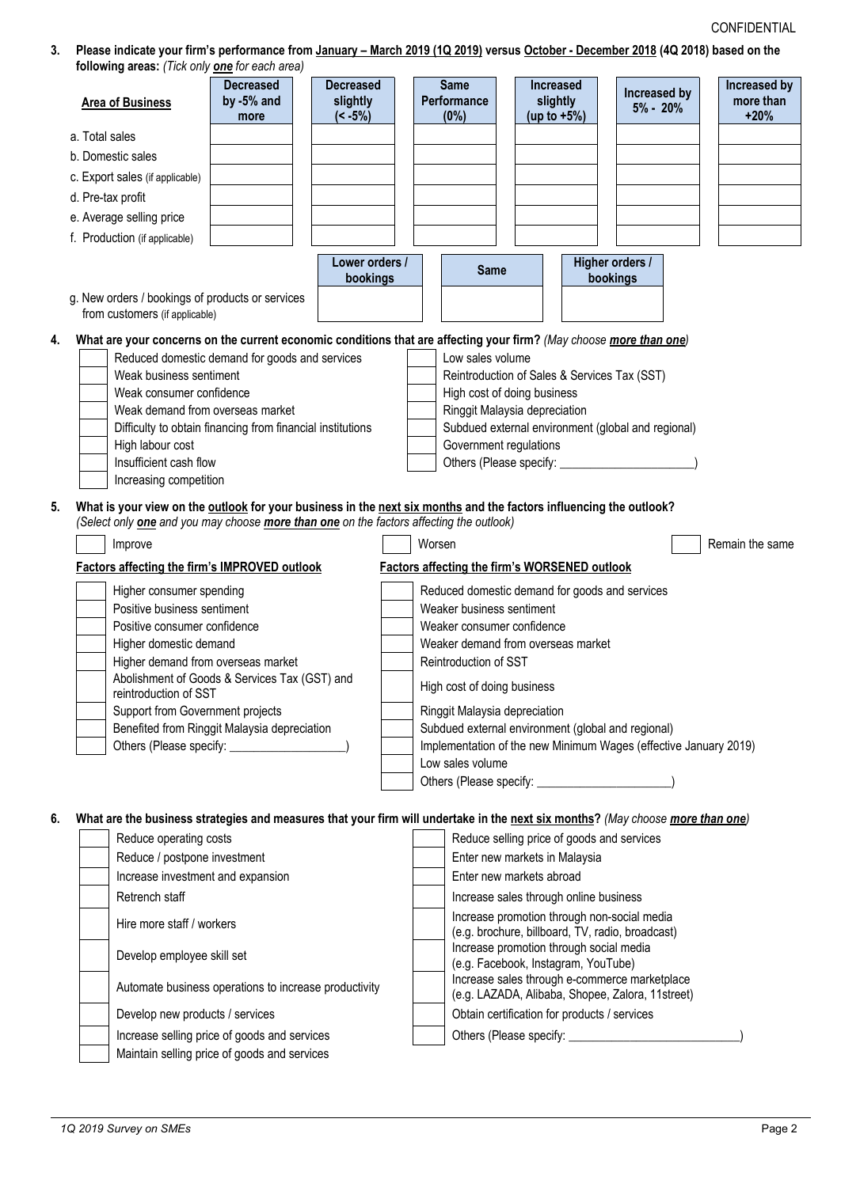3. Please indicate your firm's performance from January - March 2019 (1Q 2019) versus October - December 2018 (4Q 2018) based on the

| following areas: (Tick only <b>one</b> for each area)                                                                                                                    |                                        |                                            |                                                         |                                                                                                   |                                                                  |                                     |
|--------------------------------------------------------------------------------------------------------------------------------------------------------------------------|----------------------------------------|--------------------------------------------|---------------------------------------------------------|---------------------------------------------------------------------------------------------------|------------------------------------------------------------------|-------------------------------------|
| <b>Area of Business</b>                                                                                                                                                  | <b>Decreased</b><br>by -5% and<br>more | <b>Decreased</b><br>slightly<br>$(< -5\%)$ | <b>Same</b><br><b>Performance</b><br>$(0\%)$            | Increased<br>slightly<br>(up to $+5\%$ )                                                          | Increased by<br>$5\% - 20\%$                                     | Increased by<br>more than<br>$+20%$ |
| a. Total sales                                                                                                                                                           |                                        |                                            |                                                         |                                                                                                   |                                                                  |                                     |
|                                                                                                                                                                          |                                        |                                            |                                                         |                                                                                                   |                                                                  |                                     |
| b. Domestic sales                                                                                                                                                        |                                        |                                            |                                                         |                                                                                                   |                                                                  |                                     |
| c. Export sales (if applicable)                                                                                                                                          |                                        |                                            |                                                         |                                                                                                   |                                                                  |                                     |
| d. Pre-tax profit                                                                                                                                                        |                                        |                                            |                                                         |                                                                                                   |                                                                  |                                     |
| e. Average selling price                                                                                                                                                 |                                        |                                            |                                                         |                                                                                                   |                                                                  |                                     |
| f. Production (if applicable)                                                                                                                                            |                                        |                                            |                                                         |                                                                                                   |                                                                  |                                     |
|                                                                                                                                                                          |                                        | Lower orders /<br>bookings                 | <b>Same</b>                                             |                                                                                                   | Higher orders /<br>bookings                                      |                                     |
| g. New orders / bookings of products or services<br>from customers (if applicable)                                                                                       |                                        |                                            |                                                         |                                                                                                   |                                                                  |                                     |
| What are your concerns on the current economic conditions that are affecting your firm? (May choose more than one)                                                       |                                        |                                            |                                                         |                                                                                                   |                                                                  |                                     |
| Reduced domestic demand for goods and services                                                                                                                           |                                        |                                            | Low sales volume                                        |                                                                                                   |                                                                  |                                     |
| Weak business sentiment                                                                                                                                                  |                                        |                                            |                                                         | Reintroduction of Sales & Services Tax (SST)                                                      |                                                                  |                                     |
| Weak consumer confidence                                                                                                                                                 |                                        |                                            |                                                         | High cost of doing business                                                                       |                                                                  |                                     |
| Weak demand from overseas market                                                                                                                                         |                                        |                                            |                                                         | Ringgit Malaysia depreciation                                                                     |                                                                  |                                     |
| Difficulty to obtain financing from financial institutions                                                                                                               |                                        |                                            |                                                         | Subdued external environment (global and regional)                                                |                                                                  |                                     |
| High labour cost                                                                                                                                                         |                                        |                                            | Government regulations                                  |                                                                                                   |                                                                  |                                     |
| Insufficient cash flow                                                                                                                                                   |                                        |                                            | Others (Please specify: _                               |                                                                                                   |                                                                  |                                     |
| Increasing competition                                                                                                                                                   |                                        |                                            |                                                         |                                                                                                   |                                                                  |                                     |
| (Select only <b>one</b> and you may choose <b>more than one</b> on the factors affecting the outlook)<br>Improve<br><b>Factors affecting the firm's IMPROVED outlook</b> |                                        |                                            | Worsen                                                  | <b>Factors affecting the firm's WORSENED outlook</b>                                              |                                                                  | Remain the same                     |
|                                                                                                                                                                          |                                        |                                            |                                                         |                                                                                                   |                                                                  |                                     |
| Higher consumer spending                                                                                                                                                 |                                        |                                            |                                                         | Reduced domestic demand for goods and services                                                    |                                                                  |                                     |
| Positive business sentiment<br>Positive consumer confidence                                                                                                              |                                        |                                            | Weaker business sentiment<br>Weaker consumer confidence |                                                                                                   |                                                                  |                                     |
| Higher domestic demand                                                                                                                                                   |                                        |                                            |                                                         | Weaker demand from overseas market                                                                |                                                                  |                                     |
| Higher demand from overseas market                                                                                                                                       |                                        |                                            | Reintroduction of SST                                   |                                                                                                   |                                                                  |                                     |
| Abolishment of Goods & Services Tax (GST) and<br>reintroduction of SST                                                                                                   |                                        |                                            | High cost of doing business                             |                                                                                                   |                                                                  |                                     |
| Support from Government projects                                                                                                                                         |                                        |                                            | Ringgit Malaysia depreciation                           |                                                                                                   |                                                                  |                                     |
| Benefited from Ringgit Malaysia depreciation                                                                                                                             |                                        |                                            |                                                         | Subdued external environment (global and regional)                                                |                                                                  |                                     |
|                                                                                                                                                                          |                                        |                                            |                                                         |                                                                                                   | Implementation of the new Minimum Wages (effective January 2019) |                                     |
|                                                                                                                                                                          |                                        |                                            | Low sales volume                                        |                                                                                                   |                                                                  |                                     |
|                                                                                                                                                                          |                                        |                                            |                                                         |                                                                                                   |                                                                  |                                     |
| What are the business strategies and measures that your firm will undertake in the next six months? (May choose more than one)                                           |                                        |                                            |                                                         |                                                                                                   |                                                                  |                                     |
| Reduce operating costs                                                                                                                                                   |                                        |                                            |                                                         | Reduce selling price of goods and services                                                        |                                                                  |                                     |
| Reduce / postpone investment                                                                                                                                             |                                        |                                            |                                                         | Enter new markets in Malaysia                                                                     |                                                                  |                                     |
| Increase investment and expansion                                                                                                                                        |                                        |                                            |                                                         | Enter new markets abroad                                                                          |                                                                  |                                     |
| Retrench staff                                                                                                                                                           |                                        |                                            |                                                         | Increase sales through online business                                                            |                                                                  |                                     |
|                                                                                                                                                                          |                                        |                                            |                                                         | Increase promotion through non-social media                                                       |                                                                  |                                     |
| Hire more staff / workers                                                                                                                                                |                                        |                                            |                                                         | (e.g. brochure, billboard, TV, radio, broadcast)                                                  |                                                                  |                                     |
| Develop employee skill set                                                                                                                                               |                                        |                                            |                                                         | Increase promotion through social media<br>(e.g. Facebook, Instagram, YouTube)                    |                                                                  |                                     |
| Automate business operations to increase productivity                                                                                                                    |                                        |                                            |                                                         | Increase sales through e-commerce marketplace<br>(e.g. LAZADA, Alibaba, Shopee, Zalora, 11street) |                                                                  |                                     |
| Develop new products / services                                                                                                                                          |                                        |                                            |                                                         | Obtain certification for products / services                                                      |                                                                  |                                     |
| Increase selling price of goods and services                                                                                                                             |                                        |                                            |                                                         |                                                                                                   |                                                                  |                                     |
| Maintain selling price of goods and services                                                                                                                             |                                        |                                            |                                                         |                                                                                                   |                                                                  |                                     |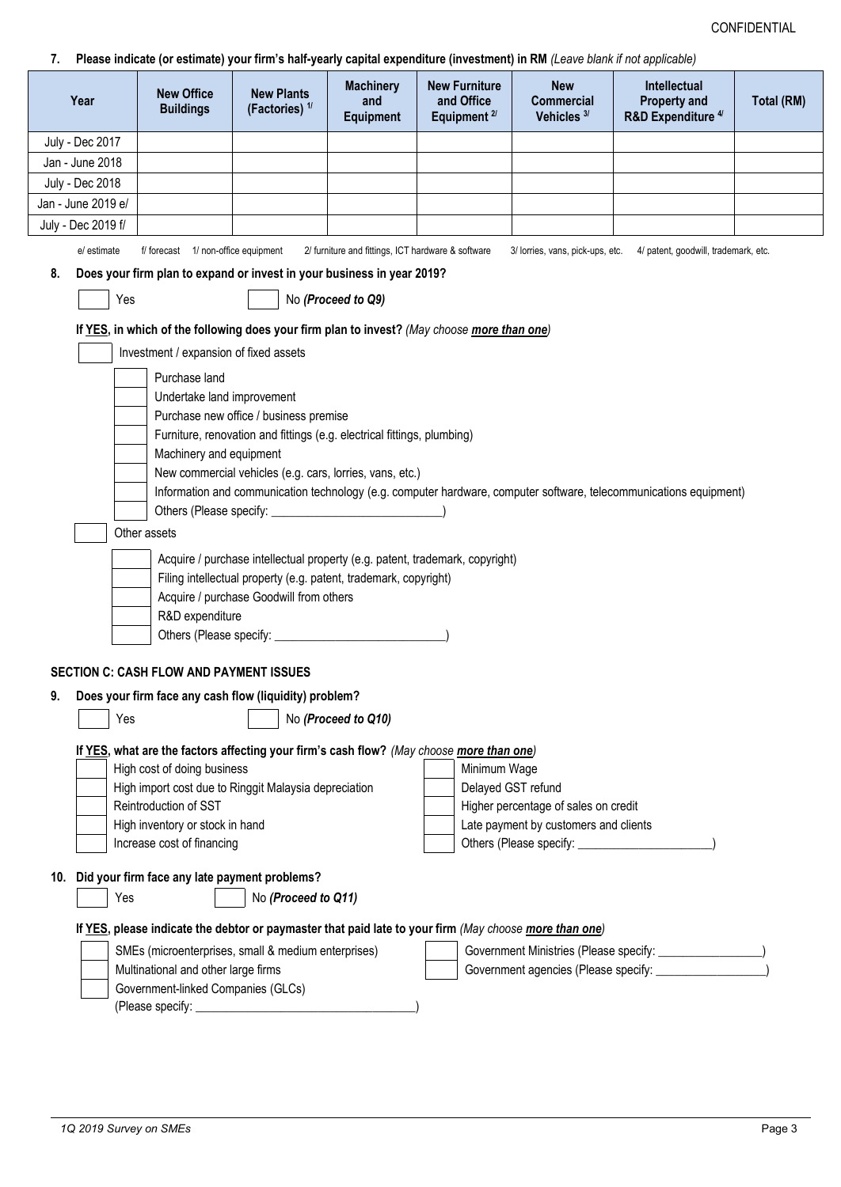# 7 Please indicate (or estimate) your firm's half-yearly canital expenditure (investment) in RM ((eave blank if not applicable)

| Year               | <b>New Office</b><br><b>Buildings</b>                                     | <b>New Plants</b><br>(Factories) <sup>1/</sup>                                                                    | <b>Machinery</b><br>and<br><b>Equipment</b>        | <b>New Furniture</b><br>and Office<br>Equipment <sup>2/</sup>                                          | <b>New</b><br><b>Commercial</b><br>Vehicles <sup>3/</sup> | Intellectual<br><b>Property and</b><br>R&D Expenditure <sup>4/</sup>                                               | Total (RM) |
|--------------------|---------------------------------------------------------------------------|-------------------------------------------------------------------------------------------------------------------|----------------------------------------------------|--------------------------------------------------------------------------------------------------------|-----------------------------------------------------------|--------------------------------------------------------------------------------------------------------------------|------------|
| July - Dec 2017    |                                                                           |                                                                                                                   |                                                    |                                                                                                        |                                                           |                                                                                                                    |            |
| Jan - June 2018    |                                                                           |                                                                                                                   |                                                    |                                                                                                        |                                                           |                                                                                                                    |            |
| July - Dec 2018    |                                                                           |                                                                                                                   |                                                    |                                                                                                        |                                                           |                                                                                                                    |            |
| Jan - June 2019 e/ |                                                                           |                                                                                                                   |                                                    |                                                                                                        |                                                           |                                                                                                                    |            |
| July - Dec 2019 f/ |                                                                           |                                                                                                                   |                                                    |                                                                                                        |                                                           |                                                                                                                    |            |
| e/ estimate        | f/ forecast 1/ non-office equipment                                       |                                                                                                                   | 2/ furniture and fittings, ICT hardware & software |                                                                                                        |                                                           | 3/ lorries, vans, pick-ups, etc. 4/ patent, goodwill, trademark, etc.                                              |            |
| 8.                 |                                                                           | Does your firm plan to expand or invest in your business in year 2019?                                            |                                                    |                                                                                                        |                                                           |                                                                                                                    |            |
| Yes                |                                                                           |                                                                                                                   | No (Proceed to Q9)                                 |                                                                                                        |                                                           |                                                                                                                    |            |
|                    |                                                                           |                                                                                                                   |                                                    |                                                                                                        |                                                           |                                                                                                                    |            |
|                    |                                                                           |                                                                                                                   |                                                    | If YES, in which of the following does your firm plan to invest? (May choose more than one)            |                                                           |                                                                                                                    |            |
|                    | Investment / expansion of fixed assets                                    |                                                                                                                   |                                                    |                                                                                                        |                                                           |                                                                                                                    |            |
|                    | Purchase land                                                             |                                                                                                                   |                                                    |                                                                                                        |                                                           |                                                                                                                    |            |
|                    | Undertake land improvement                                                |                                                                                                                   |                                                    |                                                                                                        |                                                           |                                                                                                                    |            |
|                    |                                                                           | Purchase new office / business premise<br>Furniture, renovation and fittings (e.g. electrical fittings, plumbing) |                                                    |                                                                                                        |                                                           |                                                                                                                    |            |
|                    | Machinery and equipment                                                   |                                                                                                                   |                                                    |                                                                                                        |                                                           |                                                                                                                    |            |
|                    |                                                                           | New commercial vehicles (e.g. cars, lorries, vans, etc.)                                                          |                                                    |                                                                                                        |                                                           |                                                                                                                    |            |
|                    |                                                                           |                                                                                                                   |                                                    |                                                                                                        |                                                           | Information and communication technology (e.g. computer hardware, computer software, telecommunications equipment) |            |
|                    |                                                                           |                                                                                                                   |                                                    |                                                                                                        |                                                           |                                                                                                                    |            |
|                    | Other assets                                                              |                                                                                                                   |                                                    |                                                                                                        |                                                           |                                                                                                                    |            |
|                    |                                                                           |                                                                                                                   |                                                    | Acquire / purchase intellectual property (e.g. patent, trademark, copyright)                           |                                                           |                                                                                                                    |            |
|                    |                                                                           | Filing intellectual property (e.g. patent, trademark, copyright)                                                  |                                                    |                                                                                                        |                                                           |                                                                                                                    |            |
|                    |                                                                           | Acquire / purchase Goodwill from others                                                                           |                                                    |                                                                                                        |                                                           |                                                                                                                    |            |
|                    | R&D expenditure                                                           |                                                                                                                   |                                                    |                                                                                                        |                                                           |                                                                                                                    |            |
|                    |                                                                           |                                                                                                                   |                                                    |                                                                                                        |                                                           |                                                                                                                    |            |
|                    | <b>SECTION C: CASH FLOW AND PAYMENT ISSUES</b>                            | Does your firm face any cash flow (liquidity) problem?                                                            |                                                    |                                                                                                        |                                                           |                                                                                                                    |            |
| 9.<br>Yes          |                                                                           |                                                                                                                   | No (Proceed to Q10)                                |                                                                                                        |                                                           |                                                                                                                    |            |
|                    |                                                                           |                                                                                                                   |                                                    |                                                                                                        |                                                           |                                                                                                                    |            |
|                    |                                                                           |                                                                                                                   |                                                    | If YES, what are the factors affecting your firm's cash flow? (May choose more than one)               |                                                           |                                                                                                                    |            |
|                    | High cost of doing business                                               | High import cost due to Ringgit Malaysia depreciation                                                             |                                                    | Minimum Wage<br>Delayed GST refund                                                                     |                                                           |                                                                                                                    |            |
|                    | Reintroduction of SST                                                     |                                                                                                                   |                                                    |                                                                                                        | Higher percentage of sales on credit                      |                                                                                                                    |            |
|                    | High inventory or stock in hand                                           |                                                                                                                   |                                                    |                                                                                                        | Late payment by customers and clients                     |                                                                                                                    |            |
|                    | Increase cost of financing                                                |                                                                                                                   |                                                    |                                                                                                        |                                                           |                                                                                                                    |            |
|                    |                                                                           |                                                                                                                   |                                                    |                                                                                                        |                                                           |                                                                                                                    |            |
| 10.                | Did your firm face any late payment problems?                             |                                                                                                                   |                                                    |                                                                                                        |                                                           |                                                                                                                    |            |
| Yes                |                                                                           | No (Proceed to Q11)                                                                                               |                                                    |                                                                                                        |                                                           |                                                                                                                    |            |
|                    |                                                                           |                                                                                                                   |                                                    | If YES, please indicate the debtor or paymaster that paid late to your firm (May choose more than one) |                                                           |                                                                                                                    |            |
|                    |                                                                           | SMEs (microenterprises, small & medium enterprises)                                                               |                                                    |                                                                                                        |                                                           | Government Ministries (Please specify: _________________)                                                          |            |
|                    | Multinational and other large firms<br>Government-linked Companies (GLCs) |                                                                                                                   |                                                    |                                                                                                        |                                                           |                                                                                                                    |            |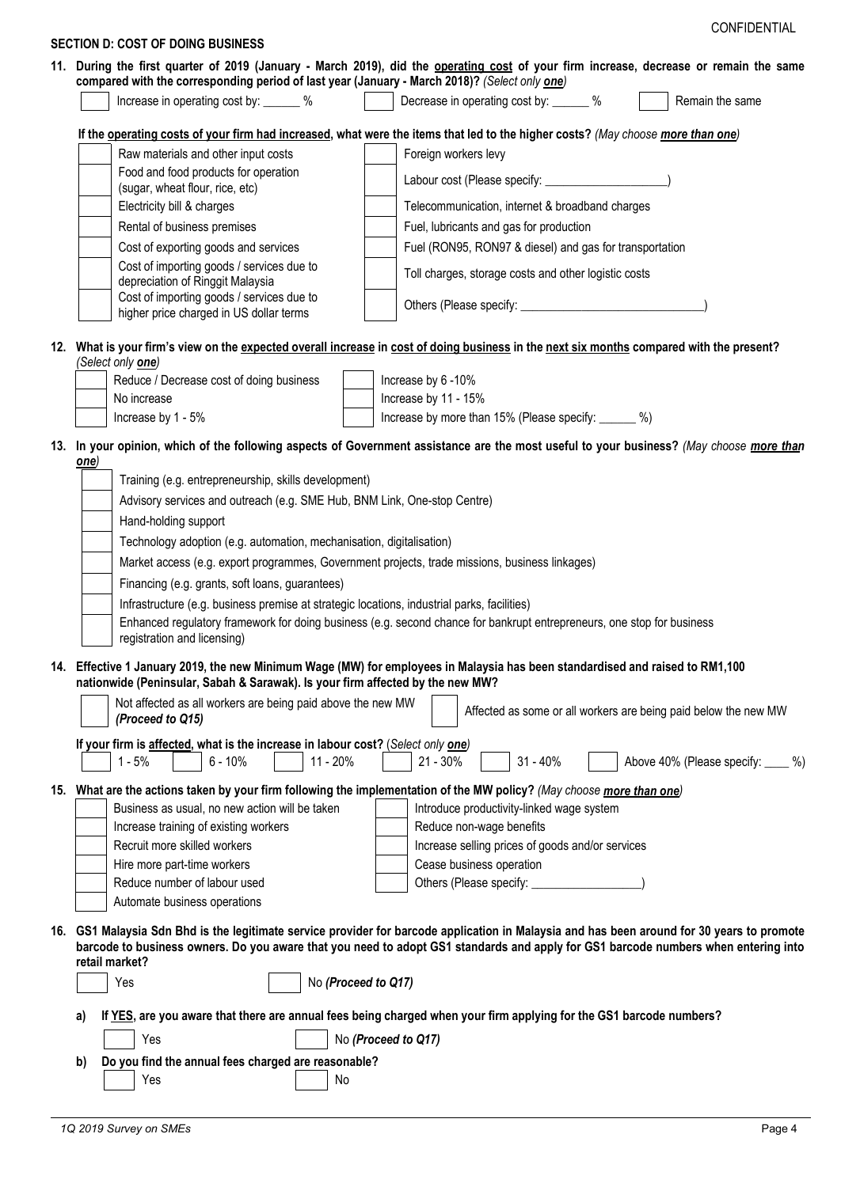| 11. During the first quarter of 2019 (January - March 2019), did the operating cost of your firm increase, decrease or remain the same<br>compared with the corresponding period of last year (January - March 2018)? (Select only one)<br>Increase in operating cost by: ______ %<br>Decrease in operating cost by: ______ %<br>Remain the same<br>If the operating costs of your firm had increased, what were the items that led to the higher costs? (May choose more than one)<br>Raw materials and other input costs<br>Foreign workers levy<br>Food and food products for operation<br>Labour cost (Please specify: _______________________)<br>(sugar, wheat flour, rice, etc)<br>Telecommunication, internet & broadband charges<br>Electricity bill & charges<br>Rental of business premises<br>Fuel, lubricants and gas for production<br>Fuel (RON95, RON97 & diesel) and gas for transportation<br>Cost of exporting goods and services<br>Cost of importing goods / services due to<br>Toll charges, storage costs and other logistic costs<br>depreciation of Ringgit Malaysia<br>Cost of importing goods / services due to<br>higher price charged in US dollar terms<br>12. What is your firm's view on the expected overall increase in cost of doing business in the next six months compared with the present?<br>(Select only <b>one</b> )<br>Reduce / Decrease cost of doing business<br>Increase by 6-10%<br>Increase by 11 - 15%<br>No increase<br>Increase by more than 15% (Please specify: ______ %)<br>Increase by 1 - 5%<br>13. In your opinion, which of the following aspects of Government assistance are the most useful to your business? (May choose more than<br>one)<br>Training (e.g. entrepreneurship, skills development)<br>Advisory services and outreach (e.g. SME Hub, BNM Link, One-stop Centre)<br>Hand-holding support<br>Technology adoption (e.g. automation, mechanisation, digitalisation)<br>Market access (e.g. export programmes, Government projects, trade missions, business linkages)<br>Financing (e.g. grants, soft loans, guarantees)<br>Infrastructure (e.g. business premise at strategic locations, industrial parks, facilities)<br>Enhanced regulatory framework for doing business (e.g. second chance for bankrupt entrepreneurs, one stop for business<br>registration and licensing)<br>14. Effective 1 January 2019, the new Minimum Wage (MW) for employees in Malaysia has been standardised and raised to RM1,100<br>nationwide (Peninsular, Sabah & Sarawak). Is your firm affected by the new MW?<br>Not affected as all workers are being paid above the new MW<br>Affected as some or all workers are being paid below the new MW<br>(Proceed to Q15)<br>If your firm is affected, what is the increase in labour cost? (Select only one)<br>$31 - 40%$<br>$6 - 10%$<br>11 - 20%<br>$1 - 5%$<br>$21 - 30\%$<br>15. What are the actions taken by your firm following the implementation of the MW policy? (May choose more than one)<br>Business as usual, no new action will be taken<br>Introduce productivity-linked wage system<br>Increase training of existing workers<br>Reduce non-wage benefits<br>Recruit more skilled workers<br>Increase selling prices of goods and/or services<br>Cease business operation<br>Hire more part-time workers<br>Reduce number of labour used<br>Others (Please specify: _<br>Automate business operations<br>GS1 Malaysia Sdn Bhd is the legitimate service provider for barcode application in Malaysia and has been around for 30 years to promote<br>barcode to business owners. Do you aware that you need to adopt GS1 standards and apply for GS1 barcode numbers when entering into<br>retail market?<br>No (Proceed to Q17)<br>Yes |     |                                          | CONFIDENTIAL                  |
|---------------------------------------------------------------------------------------------------------------------------------------------------------------------------------------------------------------------------------------------------------------------------------------------------------------------------------------------------------------------------------------------------------------------------------------------------------------------------------------------------------------------------------------------------------------------------------------------------------------------------------------------------------------------------------------------------------------------------------------------------------------------------------------------------------------------------------------------------------------------------------------------------------------------------------------------------------------------------------------------------------------------------------------------------------------------------------------------------------------------------------------------------------------------------------------------------------------------------------------------------------------------------------------------------------------------------------------------------------------------------------------------------------------------------------------------------------------------------------------------------------------------------------------------------------------------------------------------------------------------------------------------------------------------------------------------------------------------------------------------------------------------------------------------------------------------------------------------------------------------------------------------------------------------------------------------------------------------------------------------------------------------------------------------------------------------------------------------------------------------------------------------------------------------------------------------------------------------------------------------------------------------------------------------------------------------------------------------------------------------------------------------------------------------------------------------------------------------------------------------------------------------------------------------------------------------------------------------------------------------------------------------------------------------------------------------------------------------------------------------------------------------------------------------------------------------------------------------------------------------------------------------------------------------------------------------------------------------------------------------------------------------------------------------------------------------------------------------------------------------------------------------------------------------------------------------------------------------------------------------------------------------------------------------------------------------------------------------------------------------------------------------------------------------------------------------------------------------------------------------------------------------------------------------------------------------------------------------------------------------------------------------------------------------------------------------------------------------------------------------------------------------|-----|------------------------------------------|-------------------------------|
|                                                                                                                                                                                                                                                                                                                                                                                                                                                                                                                                                                                                                                                                                                                                                                                                                                                                                                                                                                                                                                                                                                                                                                                                                                                                                                                                                                                                                                                                                                                                                                                                                                                                                                                                                                                                                                                                                                                                                                                                                                                                                                                                                                                                                                                                                                                                                                                                                                                                                                                                                                                                                                                                                                                                                                                                                                                                                                                                                                                                                                                                                                                                                                                                                                                                                                                                                                                                                                                                                                                                                                                                                                                                                                                                                                     |     | <b>SECTION D: COST OF DOING BUSINESS</b> |                               |
|                                                                                                                                                                                                                                                                                                                                                                                                                                                                                                                                                                                                                                                                                                                                                                                                                                                                                                                                                                                                                                                                                                                                                                                                                                                                                                                                                                                                                                                                                                                                                                                                                                                                                                                                                                                                                                                                                                                                                                                                                                                                                                                                                                                                                                                                                                                                                                                                                                                                                                                                                                                                                                                                                                                                                                                                                                                                                                                                                                                                                                                                                                                                                                                                                                                                                                                                                                                                                                                                                                                                                                                                                                                                                                                                                                     |     |                                          |                               |
|                                                                                                                                                                                                                                                                                                                                                                                                                                                                                                                                                                                                                                                                                                                                                                                                                                                                                                                                                                                                                                                                                                                                                                                                                                                                                                                                                                                                                                                                                                                                                                                                                                                                                                                                                                                                                                                                                                                                                                                                                                                                                                                                                                                                                                                                                                                                                                                                                                                                                                                                                                                                                                                                                                                                                                                                                                                                                                                                                                                                                                                                                                                                                                                                                                                                                                                                                                                                                                                                                                                                                                                                                                                                                                                                                                     |     |                                          |                               |
|                                                                                                                                                                                                                                                                                                                                                                                                                                                                                                                                                                                                                                                                                                                                                                                                                                                                                                                                                                                                                                                                                                                                                                                                                                                                                                                                                                                                                                                                                                                                                                                                                                                                                                                                                                                                                                                                                                                                                                                                                                                                                                                                                                                                                                                                                                                                                                                                                                                                                                                                                                                                                                                                                                                                                                                                                                                                                                                                                                                                                                                                                                                                                                                                                                                                                                                                                                                                                                                                                                                                                                                                                                                                                                                                                                     |     |                                          |                               |
|                                                                                                                                                                                                                                                                                                                                                                                                                                                                                                                                                                                                                                                                                                                                                                                                                                                                                                                                                                                                                                                                                                                                                                                                                                                                                                                                                                                                                                                                                                                                                                                                                                                                                                                                                                                                                                                                                                                                                                                                                                                                                                                                                                                                                                                                                                                                                                                                                                                                                                                                                                                                                                                                                                                                                                                                                                                                                                                                                                                                                                                                                                                                                                                                                                                                                                                                                                                                                                                                                                                                                                                                                                                                                                                                                                     |     |                                          |                               |
|                                                                                                                                                                                                                                                                                                                                                                                                                                                                                                                                                                                                                                                                                                                                                                                                                                                                                                                                                                                                                                                                                                                                                                                                                                                                                                                                                                                                                                                                                                                                                                                                                                                                                                                                                                                                                                                                                                                                                                                                                                                                                                                                                                                                                                                                                                                                                                                                                                                                                                                                                                                                                                                                                                                                                                                                                                                                                                                                                                                                                                                                                                                                                                                                                                                                                                                                                                                                                                                                                                                                                                                                                                                                                                                                                                     |     |                                          |                               |
|                                                                                                                                                                                                                                                                                                                                                                                                                                                                                                                                                                                                                                                                                                                                                                                                                                                                                                                                                                                                                                                                                                                                                                                                                                                                                                                                                                                                                                                                                                                                                                                                                                                                                                                                                                                                                                                                                                                                                                                                                                                                                                                                                                                                                                                                                                                                                                                                                                                                                                                                                                                                                                                                                                                                                                                                                                                                                                                                                                                                                                                                                                                                                                                                                                                                                                                                                                                                                                                                                                                                                                                                                                                                                                                                                                     |     |                                          |                               |
|                                                                                                                                                                                                                                                                                                                                                                                                                                                                                                                                                                                                                                                                                                                                                                                                                                                                                                                                                                                                                                                                                                                                                                                                                                                                                                                                                                                                                                                                                                                                                                                                                                                                                                                                                                                                                                                                                                                                                                                                                                                                                                                                                                                                                                                                                                                                                                                                                                                                                                                                                                                                                                                                                                                                                                                                                                                                                                                                                                                                                                                                                                                                                                                                                                                                                                                                                                                                                                                                                                                                                                                                                                                                                                                                                                     |     |                                          |                               |
|                                                                                                                                                                                                                                                                                                                                                                                                                                                                                                                                                                                                                                                                                                                                                                                                                                                                                                                                                                                                                                                                                                                                                                                                                                                                                                                                                                                                                                                                                                                                                                                                                                                                                                                                                                                                                                                                                                                                                                                                                                                                                                                                                                                                                                                                                                                                                                                                                                                                                                                                                                                                                                                                                                                                                                                                                                                                                                                                                                                                                                                                                                                                                                                                                                                                                                                                                                                                                                                                                                                                                                                                                                                                                                                                                                     |     |                                          |                               |
|                                                                                                                                                                                                                                                                                                                                                                                                                                                                                                                                                                                                                                                                                                                                                                                                                                                                                                                                                                                                                                                                                                                                                                                                                                                                                                                                                                                                                                                                                                                                                                                                                                                                                                                                                                                                                                                                                                                                                                                                                                                                                                                                                                                                                                                                                                                                                                                                                                                                                                                                                                                                                                                                                                                                                                                                                                                                                                                                                                                                                                                                                                                                                                                                                                                                                                                                                                                                                                                                                                                                                                                                                                                                                                                                                                     |     |                                          |                               |
|                                                                                                                                                                                                                                                                                                                                                                                                                                                                                                                                                                                                                                                                                                                                                                                                                                                                                                                                                                                                                                                                                                                                                                                                                                                                                                                                                                                                                                                                                                                                                                                                                                                                                                                                                                                                                                                                                                                                                                                                                                                                                                                                                                                                                                                                                                                                                                                                                                                                                                                                                                                                                                                                                                                                                                                                                                                                                                                                                                                                                                                                                                                                                                                                                                                                                                                                                                                                                                                                                                                                                                                                                                                                                                                                                                     |     |                                          |                               |
|                                                                                                                                                                                                                                                                                                                                                                                                                                                                                                                                                                                                                                                                                                                                                                                                                                                                                                                                                                                                                                                                                                                                                                                                                                                                                                                                                                                                                                                                                                                                                                                                                                                                                                                                                                                                                                                                                                                                                                                                                                                                                                                                                                                                                                                                                                                                                                                                                                                                                                                                                                                                                                                                                                                                                                                                                                                                                                                                                                                                                                                                                                                                                                                                                                                                                                                                                                                                                                                                                                                                                                                                                                                                                                                                                                     |     |                                          |                               |
|                                                                                                                                                                                                                                                                                                                                                                                                                                                                                                                                                                                                                                                                                                                                                                                                                                                                                                                                                                                                                                                                                                                                                                                                                                                                                                                                                                                                                                                                                                                                                                                                                                                                                                                                                                                                                                                                                                                                                                                                                                                                                                                                                                                                                                                                                                                                                                                                                                                                                                                                                                                                                                                                                                                                                                                                                                                                                                                                                                                                                                                                                                                                                                                                                                                                                                                                                                                                                                                                                                                                                                                                                                                                                                                                                                     |     |                                          |                               |
|                                                                                                                                                                                                                                                                                                                                                                                                                                                                                                                                                                                                                                                                                                                                                                                                                                                                                                                                                                                                                                                                                                                                                                                                                                                                                                                                                                                                                                                                                                                                                                                                                                                                                                                                                                                                                                                                                                                                                                                                                                                                                                                                                                                                                                                                                                                                                                                                                                                                                                                                                                                                                                                                                                                                                                                                                                                                                                                                                                                                                                                                                                                                                                                                                                                                                                                                                                                                                                                                                                                                                                                                                                                                                                                                                                     |     |                                          |                               |
|                                                                                                                                                                                                                                                                                                                                                                                                                                                                                                                                                                                                                                                                                                                                                                                                                                                                                                                                                                                                                                                                                                                                                                                                                                                                                                                                                                                                                                                                                                                                                                                                                                                                                                                                                                                                                                                                                                                                                                                                                                                                                                                                                                                                                                                                                                                                                                                                                                                                                                                                                                                                                                                                                                                                                                                                                                                                                                                                                                                                                                                                                                                                                                                                                                                                                                                                                                                                                                                                                                                                                                                                                                                                                                                                                                     |     |                                          |                               |
|                                                                                                                                                                                                                                                                                                                                                                                                                                                                                                                                                                                                                                                                                                                                                                                                                                                                                                                                                                                                                                                                                                                                                                                                                                                                                                                                                                                                                                                                                                                                                                                                                                                                                                                                                                                                                                                                                                                                                                                                                                                                                                                                                                                                                                                                                                                                                                                                                                                                                                                                                                                                                                                                                                                                                                                                                                                                                                                                                                                                                                                                                                                                                                                                                                                                                                                                                                                                                                                                                                                                                                                                                                                                                                                                                                     |     |                                          |                               |
|                                                                                                                                                                                                                                                                                                                                                                                                                                                                                                                                                                                                                                                                                                                                                                                                                                                                                                                                                                                                                                                                                                                                                                                                                                                                                                                                                                                                                                                                                                                                                                                                                                                                                                                                                                                                                                                                                                                                                                                                                                                                                                                                                                                                                                                                                                                                                                                                                                                                                                                                                                                                                                                                                                                                                                                                                                                                                                                                                                                                                                                                                                                                                                                                                                                                                                                                                                                                                                                                                                                                                                                                                                                                                                                                                                     |     |                                          |                               |
|                                                                                                                                                                                                                                                                                                                                                                                                                                                                                                                                                                                                                                                                                                                                                                                                                                                                                                                                                                                                                                                                                                                                                                                                                                                                                                                                                                                                                                                                                                                                                                                                                                                                                                                                                                                                                                                                                                                                                                                                                                                                                                                                                                                                                                                                                                                                                                                                                                                                                                                                                                                                                                                                                                                                                                                                                                                                                                                                                                                                                                                                                                                                                                                                                                                                                                                                                                                                                                                                                                                                                                                                                                                                                                                                                                     |     |                                          |                               |
|                                                                                                                                                                                                                                                                                                                                                                                                                                                                                                                                                                                                                                                                                                                                                                                                                                                                                                                                                                                                                                                                                                                                                                                                                                                                                                                                                                                                                                                                                                                                                                                                                                                                                                                                                                                                                                                                                                                                                                                                                                                                                                                                                                                                                                                                                                                                                                                                                                                                                                                                                                                                                                                                                                                                                                                                                                                                                                                                                                                                                                                                                                                                                                                                                                                                                                                                                                                                                                                                                                                                                                                                                                                                                                                                                                     |     |                                          |                               |
|                                                                                                                                                                                                                                                                                                                                                                                                                                                                                                                                                                                                                                                                                                                                                                                                                                                                                                                                                                                                                                                                                                                                                                                                                                                                                                                                                                                                                                                                                                                                                                                                                                                                                                                                                                                                                                                                                                                                                                                                                                                                                                                                                                                                                                                                                                                                                                                                                                                                                                                                                                                                                                                                                                                                                                                                                                                                                                                                                                                                                                                                                                                                                                                                                                                                                                                                                                                                                                                                                                                                                                                                                                                                                                                                                                     |     |                                          | Above 40% (Please specify: %) |
|                                                                                                                                                                                                                                                                                                                                                                                                                                                                                                                                                                                                                                                                                                                                                                                                                                                                                                                                                                                                                                                                                                                                                                                                                                                                                                                                                                                                                                                                                                                                                                                                                                                                                                                                                                                                                                                                                                                                                                                                                                                                                                                                                                                                                                                                                                                                                                                                                                                                                                                                                                                                                                                                                                                                                                                                                                                                                                                                                                                                                                                                                                                                                                                                                                                                                                                                                                                                                                                                                                                                                                                                                                                                                                                                                                     |     |                                          |                               |
|                                                                                                                                                                                                                                                                                                                                                                                                                                                                                                                                                                                                                                                                                                                                                                                                                                                                                                                                                                                                                                                                                                                                                                                                                                                                                                                                                                                                                                                                                                                                                                                                                                                                                                                                                                                                                                                                                                                                                                                                                                                                                                                                                                                                                                                                                                                                                                                                                                                                                                                                                                                                                                                                                                                                                                                                                                                                                                                                                                                                                                                                                                                                                                                                                                                                                                                                                                                                                                                                                                                                                                                                                                                                                                                                                                     |     |                                          |                               |
|                                                                                                                                                                                                                                                                                                                                                                                                                                                                                                                                                                                                                                                                                                                                                                                                                                                                                                                                                                                                                                                                                                                                                                                                                                                                                                                                                                                                                                                                                                                                                                                                                                                                                                                                                                                                                                                                                                                                                                                                                                                                                                                                                                                                                                                                                                                                                                                                                                                                                                                                                                                                                                                                                                                                                                                                                                                                                                                                                                                                                                                                                                                                                                                                                                                                                                                                                                                                                                                                                                                                                                                                                                                                                                                                                                     |     |                                          |                               |
|                                                                                                                                                                                                                                                                                                                                                                                                                                                                                                                                                                                                                                                                                                                                                                                                                                                                                                                                                                                                                                                                                                                                                                                                                                                                                                                                                                                                                                                                                                                                                                                                                                                                                                                                                                                                                                                                                                                                                                                                                                                                                                                                                                                                                                                                                                                                                                                                                                                                                                                                                                                                                                                                                                                                                                                                                                                                                                                                                                                                                                                                                                                                                                                                                                                                                                                                                                                                                                                                                                                                                                                                                                                                                                                                                                     |     |                                          |                               |
|                                                                                                                                                                                                                                                                                                                                                                                                                                                                                                                                                                                                                                                                                                                                                                                                                                                                                                                                                                                                                                                                                                                                                                                                                                                                                                                                                                                                                                                                                                                                                                                                                                                                                                                                                                                                                                                                                                                                                                                                                                                                                                                                                                                                                                                                                                                                                                                                                                                                                                                                                                                                                                                                                                                                                                                                                                                                                                                                                                                                                                                                                                                                                                                                                                                                                                                                                                                                                                                                                                                                                                                                                                                                                                                                                                     |     |                                          |                               |
|                                                                                                                                                                                                                                                                                                                                                                                                                                                                                                                                                                                                                                                                                                                                                                                                                                                                                                                                                                                                                                                                                                                                                                                                                                                                                                                                                                                                                                                                                                                                                                                                                                                                                                                                                                                                                                                                                                                                                                                                                                                                                                                                                                                                                                                                                                                                                                                                                                                                                                                                                                                                                                                                                                                                                                                                                                                                                                                                                                                                                                                                                                                                                                                                                                                                                                                                                                                                                                                                                                                                                                                                                                                                                                                                                                     |     |                                          |                               |
|                                                                                                                                                                                                                                                                                                                                                                                                                                                                                                                                                                                                                                                                                                                                                                                                                                                                                                                                                                                                                                                                                                                                                                                                                                                                                                                                                                                                                                                                                                                                                                                                                                                                                                                                                                                                                                                                                                                                                                                                                                                                                                                                                                                                                                                                                                                                                                                                                                                                                                                                                                                                                                                                                                                                                                                                                                                                                                                                                                                                                                                                                                                                                                                                                                                                                                                                                                                                                                                                                                                                                                                                                                                                                                                                                                     |     |                                          |                               |
|                                                                                                                                                                                                                                                                                                                                                                                                                                                                                                                                                                                                                                                                                                                                                                                                                                                                                                                                                                                                                                                                                                                                                                                                                                                                                                                                                                                                                                                                                                                                                                                                                                                                                                                                                                                                                                                                                                                                                                                                                                                                                                                                                                                                                                                                                                                                                                                                                                                                                                                                                                                                                                                                                                                                                                                                                                                                                                                                                                                                                                                                                                                                                                                                                                                                                                                                                                                                                                                                                                                                                                                                                                                                                                                                                                     | 16. |                                          |                               |
|                                                                                                                                                                                                                                                                                                                                                                                                                                                                                                                                                                                                                                                                                                                                                                                                                                                                                                                                                                                                                                                                                                                                                                                                                                                                                                                                                                                                                                                                                                                                                                                                                                                                                                                                                                                                                                                                                                                                                                                                                                                                                                                                                                                                                                                                                                                                                                                                                                                                                                                                                                                                                                                                                                                                                                                                                                                                                                                                                                                                                                                                                                                                                                                                                                                                                                                                                                                                                                                                                                                                                                                                                                                                                                                                                                     |     |                                          |                               |

a) If YES, are you aware that there are annual fees being charged when your firm applying for the GS1 barcode numbers?

| Yes                                                    | $\big $ No (Proceed to Q17) |
|--------------------------------------------------------|-----------------------------|
| b) Do you find the annual fees charged are reasonable? |                             |
| Yes                                                    | No                          |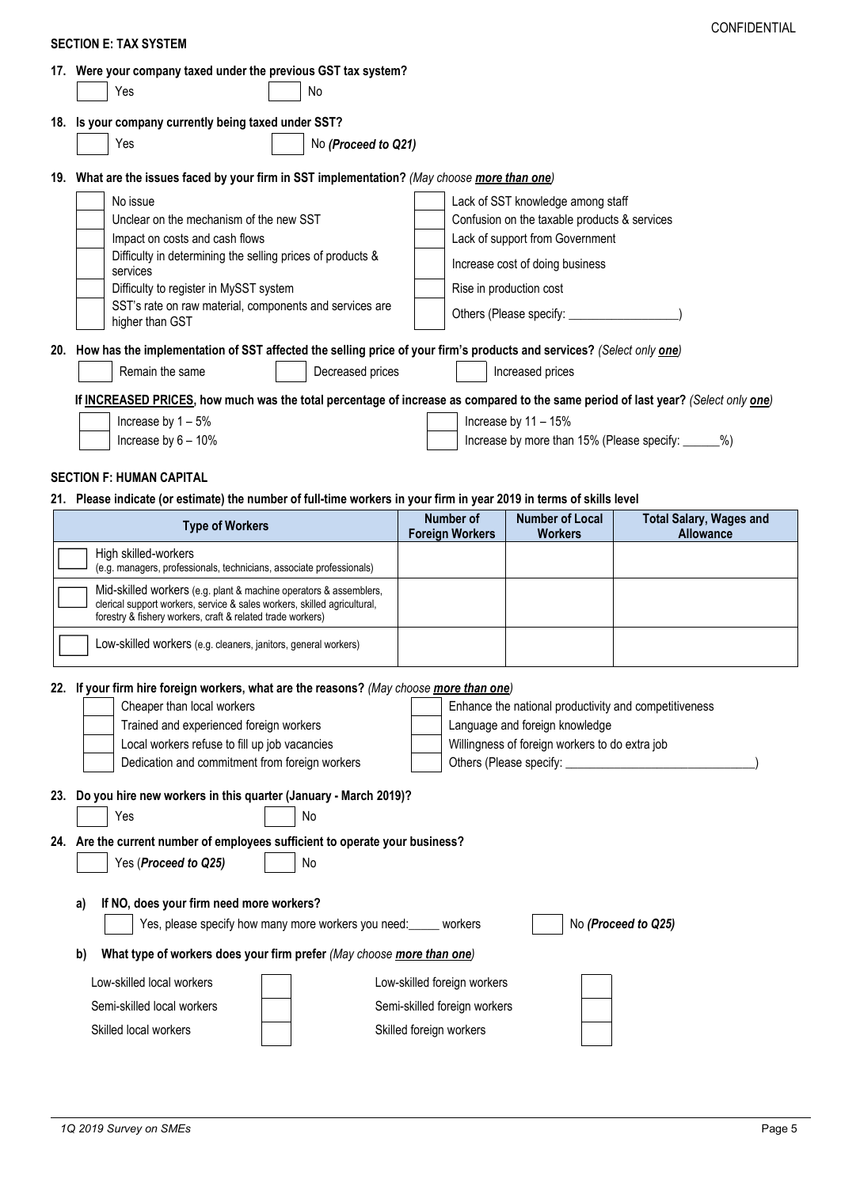|     | <b>SECTION E: TAX SYSTEM</b>                                                                                                                  |    |                     |                                                         |                                                       |                                                     |
|-----|-----------------------------------------------------------------------------------------------------------------------------------------------|----|---------------------|---------------------------------------------------------|-------------------------------------------------------|-----------------------------------------------------|
|     | 17. Were your company taxed under the previous GST tax system?                                                                                |    |                     |                                                         |                                                       |                                                     |
|     | Yes                                                                                                                                           | No |                     |                                                         |                                                       |                                                     |
|     | 18. Is your company currently being taxed under SST?                                                                                          |    |                     |                                                         |                                                       |                                                     |
|     | Yes                                                                                                                                           |    | No (Proceed to Q21) |                                                         |                                                       |                                                     |
|     |                                                                                                                                               |    |                     |                                                         |                                                       |                                                     |
| 19. | What are the issues faced by your firm in SST implementation? (May choose more than one)                                                      |    |                     |                                                         |                                                       |                                                     |
|     | No issue                                                                                                                                      |    |                     |                                                         | Lack of SST knowledge among staff                     |                                                     |
|     | Unclear on the mechanism of the new SST                                                                                                       |    |                     |                                                         | Confusion on the taxable products & services          |                                                     |
|     | Impact on costs and cash flows                                                                                                                |    |                     |                                                         | Lack of support from Government                       |                                                     |
|     | Difficulty in determining the selling prices of products &<br>services                                                                        |    |                     |                                                         | Increase cost of doing business                       |                                                     |
|     | Difficulty to register in MySST system                                                                                                        |    |                     |                                                         | Rise in production cost                               |                                                     |
|     | SST's rate on raw material, components and services are<br>higher than GST                                                                    |    |                     |                                                         |                                                       |                                                     |
|     | 20. How has the implementation of SST affected the selling price of your firm's products and services? (Select only one)                      |    |                     |                                                         |                                                       |                                                     |
|     | Remain the same                                                                                                                               |    | Decreased prices    |                                                         | Increased prices                                      |                                                     |
|     | If INCREASED PRICES, how much was the total percentage of increase as compared to the same period of last year? (Select only one)             |    |                     |                                                         |                                                       |                                                     |
|     | Increase by $1 - 5%$                                                                                                                          |    |                     |                                                         | Increase by $11 - 15%$                                |                                                     |
|     | Increase by $6 - 10\%$                                                                                                                        |    |                     |                                                         |                                                       | Increase by more than 15% (Please specify: ______%) |
|     |                                                                                                                                               |    |                     |                                                         |                                                       |                                                     |
|     |                                                                                                                                               |    |                     |                                                         |                                                       |                                                     |
|     | <b>SECTION F: HUMAN CAPITAL</b>                                                                                                               |    |                     |                                                         |                                                       |                                                     |
|     | 21. Please indicate (or estimate) the number of full-time workers in your firm in year 2019 in terms of skills level                          |    |                     |                                                         |                                                       |                                                     |
|     | <b>Type of Workers</b>                                                                                                                        |    |                     | <b>Number of</b>                                        | <b>Number of Local</b>                                | <b>Total Salary, Wages and</b>                      |
|     | High skilled-workers                                                                                                                          |    |                     | <b>Foreign Workers</b>                                  | <b>Workers</b>                                        | <b>Allowance</b>                                    |
|     | (e.g. managers, professionals, technicians, associate professionals)                                                                          |    |                     |                                                         |                                                       |                                                     |
|     | Mid-skilled workers (e.g. plant & machine operators & assemblers,<br>clerical support workers, service & sales workers, skilled agricultural, |    |                     |                                                         |                                                       |                                                     |
|     | forestry & fishery workers, craft & related trade workers)<br>Low-skilled workers (e.g. cleaners, janitors, general workers)                  |    |                     |                                                         |                                                       |                                                     |
|     |                                                                                                                                               |    |                     |                                                         |                                                       |                                                     |
|     | 22. If your firm hire foreign workers, what are the reasons? (May choose more than one)                                                       |    |                     |                                                         |                                                       |                                                     |
|     | Cheaper than local workers                                                                                                                    |    |                     |                                                         | Enhance the national productivity and competitiveness |                                                     |
|     | Trained and experienced foreign workers                                                                                                       |    |                     |                                                         | Language and foreign knowledge                        |                                                     |
|     | Local workers refuse to fill up job vacancies<br>Dedication and commitment from foreign workers                                               |    |                     |                                                         | Willingness of foreign workers to do extra job        |                                                     |
|     |                                                                                                                                               |    |                     |                                                         |                                                       |                                                     |
|     | Do you hire new workers in this quarter (January - March 2019)?                                                                               |    |                     |                                                         |                                                       |                                                     |
|     | Yes                                                                                                                                           | No |                     |                                                         |                                                       |                                                     |
|     | 24. Are the current number of employees sufficient to operate your business?                                                                  |    |                     |                                                         |                                                       |                                                     |
|     | Yes (Proceed to Q25)                                                                                                                          | No |                     |                                                         |                                                       |                                                     |
|     |                                                                                                                                               |    |                     |                                                         |                                                       |                                                     |
|     | If NO, does your firm need more workers?<br>a)                                                                                                |    |                     |                                                         |                                                       | No (Proceed to Q25)                                 |
|     | Yes, please specify how many more workers you need: _____ workers                                                                             |    |                     |                                                         |                                                       |                                                     |
|     | What type of workers does your firm prefer (May choose more than one)<br>b)                                                                   |    |                     |                                                         |                                                       |                                                     |
|     | Low-skilled local workers                                                                                                                     |    |                     | Low-skilled foreign workers                             |                                                       |                                                     |
| 23. | Semi-skilled local workers<br>Skilled local workers                                                                                           |    |                     | Semi-skilled foreign workers<br>Skilled foreign workers |                                                       |                                                     |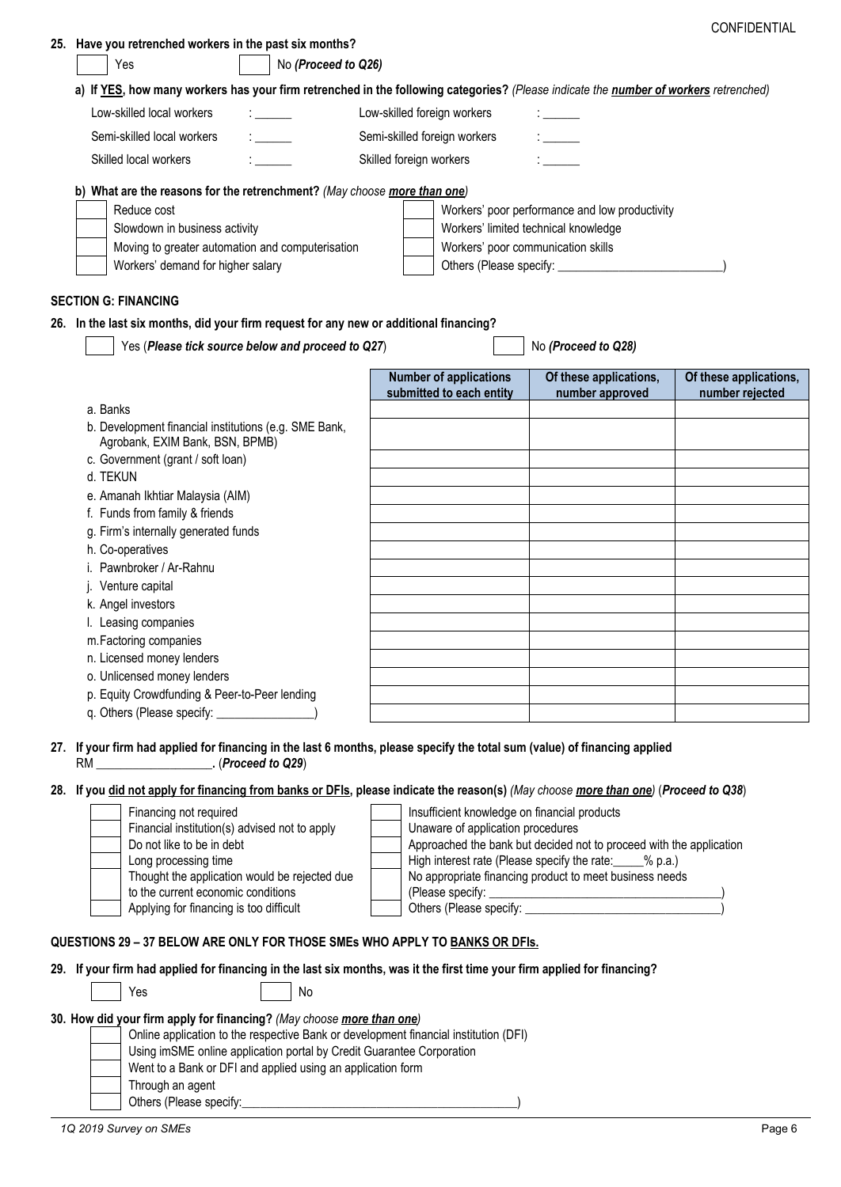|                                                                                                                                      |                                                           |                                                                                                                     | CONFIDENTIAL           |
|--------------------------------------------------------------------------------------------------------------------------------------|-----------------------------------------------------------|---------------------------------------------------------------------------------------------------------------------|------------------------|
| 25. Have you retrenched workers in the past six months?<br>No (Proceed to Q26)<br>Yes                                                |                                                           |                                                                                                                     |                        |
| a) If YES, how many workers has your firm retrenched in the following categories? (Please indicate the number of workers retrenched) |                                                           |                                                                                                                     |                        |
| Low-skilled local workers                                                                                                            | Low-skilled foreign workers                               |                                                                                                                     |                        |
| Semi-skilled local workers                                                                                                           | Semi-skilled foreign workers                              |                                                                                                                     |                        |
| Skilled local workers                                                                                                                | Skilled foreign workers                                   |                                                                                                                     |                        |
|                                                                                                                                      |                                                           |                                                                                                                     |                        |
| b) What are the reasons for the retrenchment? (May choose more than one)                                                             |                                                           |                                                                                                                     |                        |
| Reduce cost                                                                                                                          |                                                           | Workers' poor performance and low productivity                                                                      |                        |
| Slowdown in business activity<br>Moving to greater automation and computerisation                                                    | Workers' poor communication skills                        | Workers' limited technical knowledge                                                                                |                        |
| Workers' demand for higher salary                                                                                                    |                                                           |                                                                                                                     |                        |
|                                                                                                                                      |                                                           |                                                                                                                     |                        |
| <b>SECTION G: FINANCING</b>                                                                                                          |                                                           |                                                                                                                     |                        |
| 26. In the last six months, did your firm request for any new or additional financing?                                               |                                                           |                                                                                                                     |                        |
| Yes (Please tick source below and proceed to Q27)                                                                                    |                                                           | No (Proceed to Q28)                                                                                                 |                        |
|                                                                                                                                      | <b>Number of applications</b><br>submitted to each entity | Of these applications,                                                                                              | Of these applications, |
| a. Banks                                                                                                                             |                                                           | number approved                                                                                                     | number rejected        |
| b. Development financial institutions (e.g. SME Bank,                                                                                |                                                           |                                                                                                                     |                        |
| Agrobank, EXIM Bank, BSN, BPMB)                                                                                                      |                                                           |                                                                                                                     |                        |
| c. Government (grant / soft loan)<br>d. TEKUN                                                                                        |                                                           |                                                                                                                     |                        |
| e. Amanah Ikhtiar Malaysia (AIM)                                                                                                     |                                                           |                                                                                                                     |                        |
| f. Funds from family & friends                                                                                                       |                                                           |                                                                                                                     |                        |
| g. Firm's internally generated funds                                                                                                 |                                                           |                                                                                                                     |                        |
| h. Co-operatives                                                                                                                     |                                                           |                                                                                                                     |                        |
| Pawnbroker / Ar-Rahnu                                                                                                                |                                                           |                                                                                                                     |                        |
| Venture capital                                                                                                                      |                                                           |                                                                                                                     |                        |
| k. Angel investors                                                                                                                   |                                                           |                                                                                                                     |                        |
| I. Leasing companies                                                                                                                 |                                                           |                                                                                                                     |                        |
| m.Factoring companies                                                                                                                |                                                           |                                                                                                                     |                        |
| n. Licensed money lenders                                                                                                            |                                                           |                                                                                                                     |                        |
| o. Unlicensed money lenders                                                                                                          |                                                           |                                                                                                                     |                        |
| p. Equity Crowdfunding & Peer-to-Peer lending                                                                                        |                                                           |                                                                                                                     |                        |
|                                                                                                                                      |                                                           |                                                                                                                     |                        |
| 27. If your firm had applied for financing in the last 6 months, please specify the total sum (value) of financing applied           |                                                           |                                                                                                                     |                        |
|                                                                                                                                      |                                                           |                                                                                                                     |                        |
| 28. If you did not apply for financing from banks or DFIs, please indicate the reason(s) (May choose more than one) (Proceed to Q38) |                                                           |                                                                                                                     |                        |
| Financing not required                                                                                                               | Insufficient knowledge on financial products              |                                                                                                                     |                        |
| Financial institution(s) advised not to apply                                                                                        | Unaware of application procedures                         |                                                                                                                     |                        |
| Do not like to be in debt                                                                                                            |                                                           | Approached the bank but decided not to proceed with the application                                                 |                        |
| Long processing time<br>Thought the application would be rejected due                                                                |                                                           | High interest rate (Please specify the rate: ____% p.a.)<br>No appropriate financing product to meet business needs |                        |
| to the current economic conditions                                                                                                   |                                                           |                                                                                                                     |                        |
| Applying for financing is too difficult                                                                                              |                                                           |                                                                                                                     |                        |
|                                                                                                                                      |                                                           |                                                                                                                     |                        |
| QUESTIONS 29 - 37 BELOW ARE ONLY FOR THOSE SMEs WHO APPLY TO BANKS OR DFIS.                                                          |                                                           |                                                                                                                     |                        |
| 29. If your firm had applied for financing in the last six months, was it the first time your firm applied for financing?            |                                                           |                                                                                                                     |                        |
| Yes<br>No                                                                                                                            |                                                           |                                                                                                                     |                        |
| 30. How did your firm apply for financing? (May choose more than one)                                                                |                                                           |                                                                                                                     |                        |
| Online application to the respective Bank or development financial institution (DFI)                                                 |                                                           |                                                                                                                     |                        |
| Using imSME online application portal by Credit Guarantee Corporation                                                                |                                                           |                                                                                                                     |                        |
| Went to a Bank or DFI and applied using an application form                                                                          |                                                           |                                                                                                                     |                        |
| Through an agent                                                                                                                     |                                                           |                                                                                                                     |                        |
|                                                                                                                                      |                                                           |                                                                                                                     |                        |
| 1Q 2019 Survey on SMEs                                                                                                               |                                                           |                                                                                                                     | Page 6                 |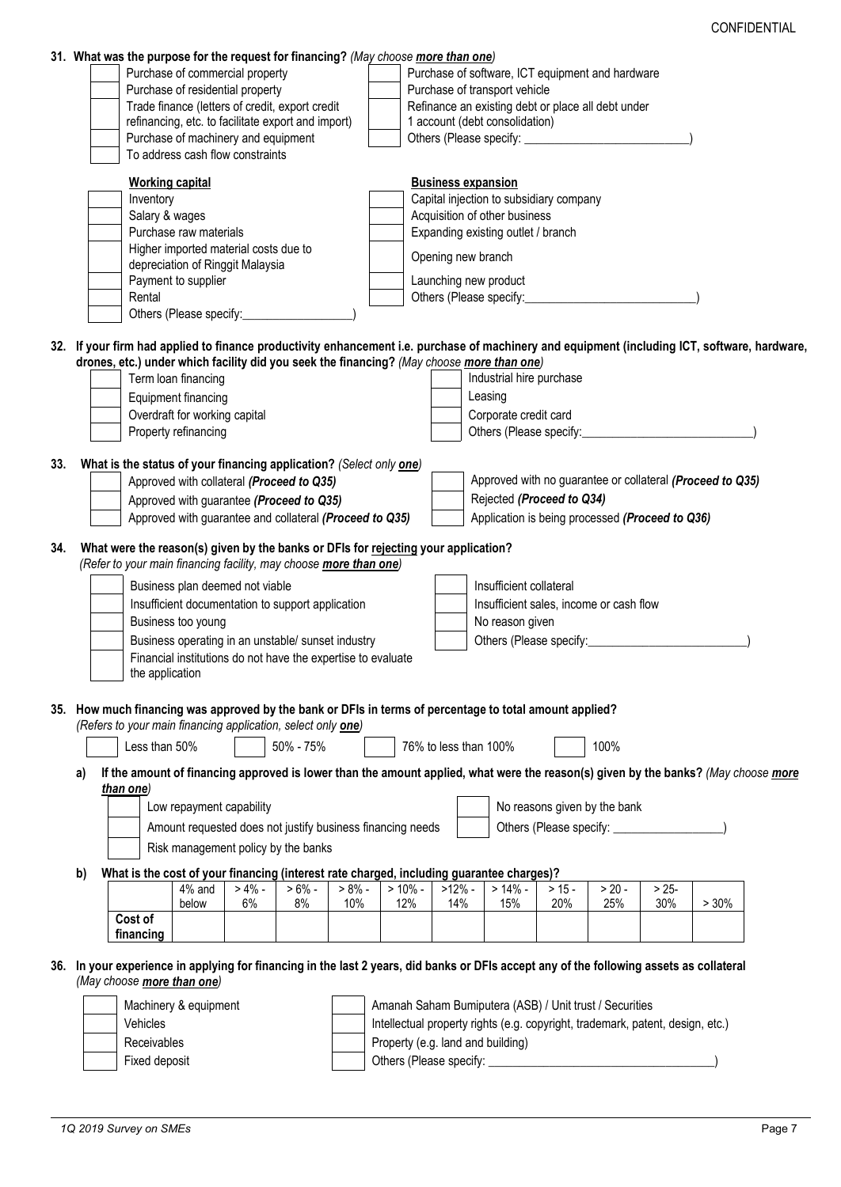|     |    | 31. What was the purpose for the request for financing? (May choose more than one)                                                                                                               |                                                                           |         |           |           |                                                                                |                           |                                                                                                                                                                                                                                |          |                              |         |                                                                                                                                               |  |
|-----|----|--------------------------------------------------------------------------------------------------------------------------------------------------------------------------------------------------|---------------------------------------------------------------------------|---------|-----------|-----------|--------------------------------------------------------------------------------|---------------------------|--------------------------------------------------------------------------------------------------------------------------------------------------------------------------------------------------------------------------------|----------|------------------------------|---------|-----------------------------------------------------------------------------------------------------------------------------------------------|--|
|     |    |                                                                                                                                                                                                  | Purchase of commercial property                                           |         |           |           |                                                                                |                           | Purchase of software, ICT equipment and hardware                                                                                                                                                                               |          |                              |         |                                                                                                                                               |  |
|     |    |                                                                                                                                                                                                  | Purchase of residential property                                          |         |           |           |                                                                                |                           | Purchase of transport vehicle                                                                                                                                                                                                  |          |                              |         |                                                                                                                                               |  |
|     |    |                                                                                                                                                                                                  | Trade finance (letters of credit, export credit                           |         |           |           |                                                                                |                           | Refinance an existing debt or place all debt under                                                                                                                                                                             |          |                              |         |                                                                                                                                               |  |
|     |    |                                                                                                                                                                                                  | refinancing, etc. to facilitate export and import)                        |         |           |           |                                                                                |                           | 1 account (debt consolidation)                                                                                                                                                                                                 |          |                              |         |                                                                                                                                               |  |
|     |    |                                                                                                                                                                                                  | Purchase of machinery and equipment                                       |         |           |           |                                                                                |                           |                                                                                                                                                                                                                                |          |                              |         |                                                                                                                                               |  |
|     |    |                                                                                                                                                                                                  | To address cash flow constraints                                          |         |           |           |                                                                                |                           |                                                                                                                                                                                                                                |          |                              |         |                                                                                                                                               |  |
|     |    |                                                                                                                                                                                                  | <b>Working capital</b>                                                    |         |           |           |                                                                                | <b>Business expansion</b> |                                                                                                                                                                                                                                |          |                              |         |                                                                                                                                               |  |
|     |    | Inventory                                                                                                                                                                                        |                                                                           |         |           |           |                                                                                |                           | Capital injection to subsidiary company                                                                                                                                                                                        |          |                              |         |                                                                                                                                               |  |
|     |    | Salary & wages                                                                                                                                                                                   |                                                                           |         |           |           |                                                                                |                           | Acquisition of other business                                                                                                                                                                                                  |          |                              |         |                                                                                                                                               |  |
|     |    |                                                                                                                                                                                                  | Purchase raw materials                                                    |         |           |           |                                                                                |                           | Expanding existing outlet / branch                                                                                                                                                                                             |          |                              |         |                                                                                                                                               |  |
|     |    |                                                                                                                                                                                                  | Higher imported material costs due to<br>depreciation of Ringgit Malaysia |         |           |           |                                                                                | Opening new branch        |                                                                                                                                                                                                                                |          |                              |         |                                                                                                                                               |  |
|     |    |                                                                                                                                                                                                  | Payment to supplier                                                       |         |           |           |                                                                                | Launching new product     |                                                                                                                                                                                                                                |          |                              |         |                                                                                                                                               |  |
|     |    | Rental                                                                                                                                                                                           |                                                                           |         |           |           |                                                                                |                           | Others (Please specify:                                                                                                                                                                                                        |          |                              |         |                                                                                                                                               |  |
|     |    |                                                                                                                                                                                                  | Others (Please specify:                                                   |         |           |           |                                                                                |                           |                                                                                                                                                                                                                                |          |                              |         |                                                                                                                                               |  |
|     |    | drones, etc.) under which facility did you seek the financing? (May choose more than one)                                                                                                        |                                                                           |         |           |           |                                                                                |                           | Industrial hire purchase                                                                                                                                                                                                       |          |                              |         | 32. If your firm had applied to finance productivity enhancement i.e. purchase of machinery and equipment (including ICT, software, hardware, |  |
|     |    |                                                                                                                                                                                                  | Term loan financing                                                       |         |           |           |                                                                                |                           |                                                                                                                                                                                                                                |          |                              |         |                                                                                                                                               |  |
|     |    |                                                                                                                                                                                                  | Equipment financing                                                       |         |           |           |                                                                                |                           | Leasing                                                                                                                                                                                                                        |          |                              |         |                                                                                                                                               |  |
|     |    |                                                                                                                                                                                                  | Overdraft for working capital                                             |         |           |           |                                                                                |                           | Corporate credit card                                                                                                                                                                                                          |          |                              |         |                                                                                                                                               |  |
|     |    |                                                                                                                                                                                                  | Property refinancing                                                      |         |           |           |                                                                                |                           | Others (Please specify:                                                                                                                                                                                                        |          |                              |         |                                                                                                                                               |  |
| 33. |    | What is the status of your financing application? (Select only one)                                                                                                                              |                                                                           |         |           |           |                                                                                |                           |                                                                                                                                                                                                                                |          |                              |         |                                                                                                                                               |  |
|     |    |                                                                                                                                                                                                  | Approved with collateral (Proceed to Q35)                                 |         |           |           |                                                                                |                           |                                                                                                                                                                                                                                |          |                              |         | Approved with no guarantee or collateral (Proceed to Q35)                                                                                     |  |
|     |    |                                                                                                                                                                                                  | Approved with guarantee (Proceed to Q35)                                  |         |           |           |                                                                                |                           | Rejected (Proceed to Q34)                                                                                                                                                                                                      |          |                              |         |                                                                                                                                               |  |
|     |    |                                                                                                                                                                                                  | Approved with guarantee and collateral (Proceed to Q35)                   |         |           |           |                                                                                |                           | Application is being processed (Proceed to Q36)                                                                                                                                                                                |          |                              |         |                                                                                                                                               |  |
|     |    |                                                                                                                                                                                                  |                                                                           |         |           |           |                                                                                |                           |                                                                                                                                                                                                                                |          |                              |         |                                                                                                                                               |  |
| 34. |    | What were the reason(s) given by the banks or DFIs for rejecting your application?<br>(Refer to your main financing facility, may choose more than one)                                          |                                                                           |         |           |           |                                                                                |                           |                                                                                                                                                                                                                                |          |                              |         |                                                                                                                                               |  |
|     |    |                                                                                                                                                                                                  |                                                                           |         |           |           |                                                                                |                           |                                                                                                                                                                                                                                |          |                              |         |                                                                                                                                               |  |
|     |    |                                                                                                                                                                                                  | Business plan deemed not viable                                           |         |           |           |                                                                                |                           | Insufficient collateral                                                                                                                                                                                                        |          |                              |         |                                                                                                                                               |  |
|     |    |                                                                                                                                                                                                  | Insufficient documentation to support application                         |         |           |           |                                                                                |                           | Insufficient sales, income or cash flow                                                                                                                                                                                        |          |                              |         |                                                                                                                                               |  |
|     |    |                                                                                                                                                                                                  | Business too young                                                        |         |           |           |                                                                                |                           | No reason given                                                                                                                                                                                                                |          |                              |         |                                                                                                                                               |  |
|     |    |                                                                                                                                                                                                  | Business operating in an unstable/ sunset industry                        |         |           |           |                                                                                |                           | Others (Please specify: Distribution of the Second School and School and School and School and School and School and School and School and School and School and School and School and School and School and School and School |          |                              |         |                                                                                                                                               |  |
|     |    |                                                                                                                                                                                                  | Financial institutions do not have the expertise to evaluate              |         |           |           |                                                                                |                           |                                                                                                                                                                                                                                |          |                              |         |                                                                                                                                               |  |
|     |    | the application                                                                                                                                                                                  |                                                                           |         |           |           |                                                                                |                           |                                                                                                                                                                                                                                |          |                              |         |                                                                                                                                               |  |
|     |    | 35. How much financing was approved by the bank or DFIs in terms of percentage to total amount applied?<br>(Refers to your main financing application, select only <b>one</b> )<br>Less than 50% |                                                                           |         | 50% - 75% |           |                                                                                | 76% to less than 100%     |                                                                                                                                                                                                                                |          | 100%                         |         |                                                                                                                                               |  |
|     | a) | than one)                                                                                                                                                                                        |                                                                           |         |           |           |                                                                                |                           |                                                                                                                                                                                                                                |          |                              |         | If the amount of financing approved is lower than the amount applied, what were the reason(s) given by the banks? (May choose more            |  |
|     |    |                                                                                                                                                                                                  | Low repayment capability                                                  |         |           |           |                                                                                |                           |                                                                                                                                                                                                                                |          | No reasons given by the bank |         |                                                                                                                                               |  |
|     |    |                                                                                                                                                                                                  |                                                                           |         |           |           | Amount requested does not justify business financing needs                     |                           |                                                                                                                                                                                                                                |          |                              |         |                                                                                                                                               |  |
|     |    |                                                                                                                                                                                                  |                                                                           |         |           |           |                                                                                |                           |                                                                                                                                                                                                                                |          |                              |         |                                                                                                                                               |  |
|     |    |                                                                                                                                                                                                  | Risk management policy by the banks                                       |         |           |           |                                                                                |                           |                                                                                                                                                                                                                                |          |                              |         |                                                                                                                                               |  |
|     | b) | What is the cost of your financing (interest rate charged, including guarantee charges)?                                                                                                         |                                                                           |         |           |           |                                                                                |                           |                                                                                                                                                                                                                                |          |                              |         |                                                                                                                                               |  |
|     |    |                                                                                                                                                                                                  | $4\%$ and                                                                 | $> 4\%$ | $>6\%$ -  | $> 8\%$ - | $> 10\%$ -                                                                     | $>12\%$ -                 | $>14%$ -                                                                                                                                                                                                                       | $> 15 -$ | $> 20 -$                     | $> 25-$ |                                                                                                                                               |  |
|     |    | Cost of                                                                                                                                                                                          | below                                                                     | 6%      | 8%        | 10%       | 12%                                                                            | 14%                       | 15%                                                                                                                                                                                                                            | 20%      | 25%                          | 30%     | >30%                                                                                                                                          |  |
|     |    |                                                                                                                                                                                                  |                                                                           |         |           |           |                                                                                |                           |                                                                                                                                                                                                                                |          |                              |         |                                                                                                                                               |  |
|     |    |                                                                                                                                                                                                  |                                                                           |         |           |           |                                                                                |                           |                                                                                                                                                                                                                                |          |                              |         |                                                                                                                                               |  |
|     |    | financing                                                                                                                                                                                        |                                                                           |         |           |           |                                                                                |                           |                                                                                                                                                                                                                                |          |                              |         |                                                                                                                                               |  |
|     |    | 36. In your experience in applying for financing in the last 2 years, did banks or DFIs accept any of the following assets as collateral<br>(May choose more than one)                           |                                                                           |         |           |           |                                                                                |                           |                                                                                                                                                                                                                                |          |                              |         |                                                                                                                                               |  |
|     |    |                                                                                                                                                                                                  |                                                                           |         |           |           |                                                                                |                           |                                                                                                                                                                                                                                |          |                              |         |                                                                                                                                               |  |
|     |    |                                                                                                                                                                                                  | Machinery & equipment                                                     |         |           |           | Amanah Saham Bumiputera (ASB) / Unit trust / Securities                        |                           |                                                                                                                                                                                                                                |          |                              |         |                                                                                                                                               |  |
|     |    | Vehicles                                                                                                                                                                                         |                                                                           |         |           |           | Intellectual property rights (e.g. copyright, trademark, patent, design, etc.) |                           |                                                                                                                                                                                                                                |          |                              |         |                                                                                                                                               |  |
|     |    | Receivables<br>Fixed deposit                                                                                                                                                                     |                                                                           |         |           |           | Property (e.g. land and building)<br>Others (Please specify:                   |                           |                                                                                                                                                                                                                                |          |                              |         |                                                                                                                                               |  |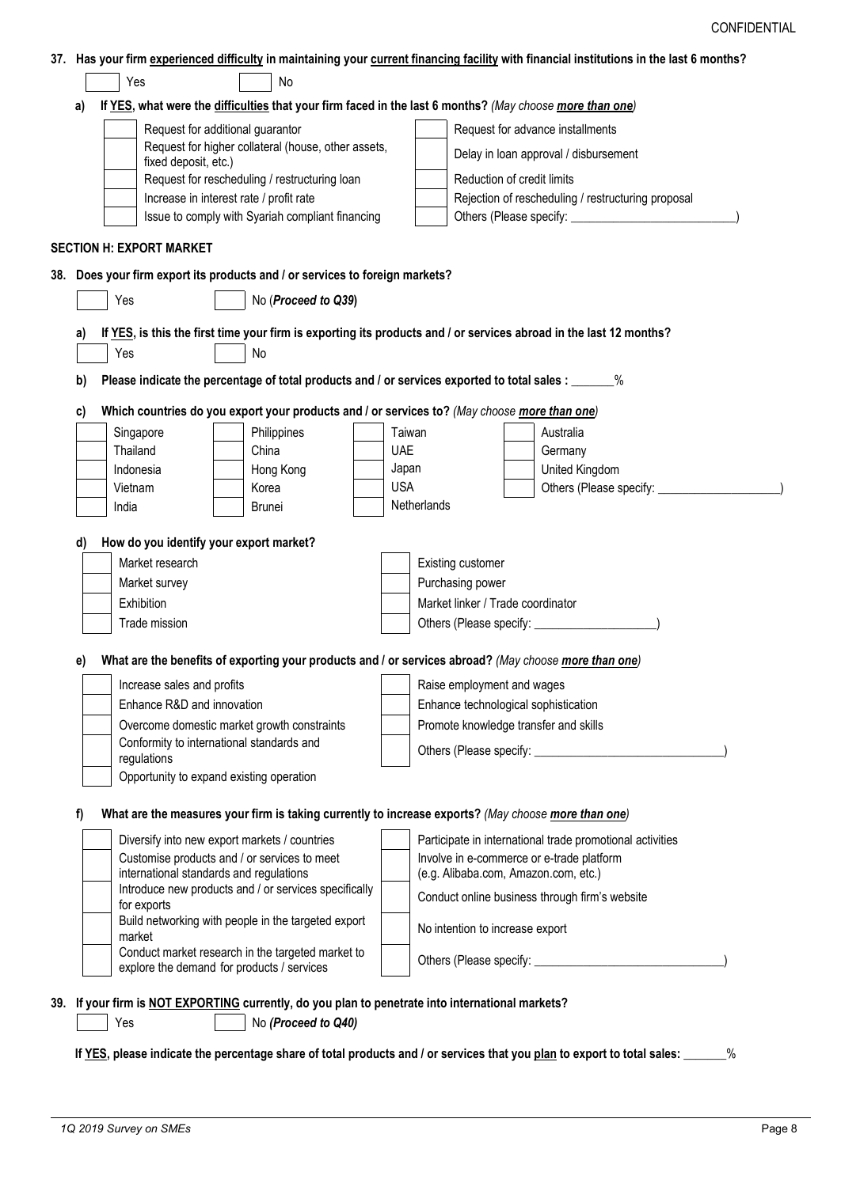| 37. Has your firm experienced difficulty in maintaining your current financing facility with financial institutions in the last 6 months? |
|-------------------------------------------------------------------------------------------------------------------------------------------|
|-------------------------------------------------------------------------------------------------------------------------------------------|

|    |                                                                                                                                   |                                               | Request for additional guarantor<br>Request for higher collateral (house, other assets,              |                                       |                                      |                                                       |  | Request for advance installments                                                                                   |  |  |
|----|-----------------------------------------------------------------------------------------------------------------------------------|-----------------------------------------------|------------------------------------------------------------------------------------------------------|---------------------------------------|--------------------------------------|-------------------------------------------------------|--|--------------------------------------------------------------------------------------------------------------------|--|--|
|    | fixed deposit, etc.)                                                                                                              |                                               |                                                                                                      |                                       |                                      |                                                       |  | Delay in loan approval / disbursement                                                                              |  |  |
|    |                                                                                                                                   | Request for rescheduling / restructuring loan |                                                                                                      |                                       |                                      | Reduction of credit limits                            |  |                                                                                                                    |  |  |
|    | Increase in interest rate / profit rate                                                                                           |                                               |                                                                                                      |                                       |                                      | Rejection of rescheduling / restructuring proposal    |  |                                                                                                                    |  |  |
|    |                                                                                                                                   |                                               | Issue to comply with Syariah compliant financing                                                     |                                       |                                      |                                                       |  |                                                                                                                    |  |  |
|    | <b>SECTION H: EXPORT MARKET</b>                                                                                                   |                                               |                                                                                                      |                                       |                                      |                                                       |  |                                                                                                                    |  |  |
|    |                                                                                                                                   |                                               | 38. Does your firm export its products and / or services to foreign markets?                         |                                       |                                      |                                                       |  |                                                                                                                    |  |  |
|    | Yes                                                                                                                               |                                               | No (Proceed to Q39)                                                                                  |                                       |                                      |                                                       |  |                                                                                                                    |  |  |
|    |                                                                                                                                   |                                               |                                                                                                      |                                       |                                      |                                                       |  |                                                                                                                    |  |  |
| a) |                                                                                                                                   |                                               |                                                                                                      |                                       |                                      |                                                       |  | If YES, is this the first time your firm is exporting its products and / or services abroad in the last 12 months? |  |  |
|    | Yes                                                                                                                               |                                               | No                                                                                                   |                                       |                                      |                                                       |  |                                                                                                                    |  |  |
| b) |                                                                                                                                   |                                               | Please indicate the percentage of total products and / or services exported to total sales : ______% |                                       |                                      |                                                       |  |                                                                                                                    |  |  |
| C) |                                                                                                                                   |                                               | Which countries do you export your products and / or services to? (May choose more than one)         |                                       |                                      |                                                       |  |                                                                                                                    |  |  |
|    | Singapore                                                                                                                         |                                               | Philippines                                                                                          |                                       | Taiwan                               |                                                       |  | Australia                                                                                                          |  |  |
|    | Thailand                                                                                                                          |                                               | China                                                                                                |                                       | <b>UAE</b>                           |                                                       |  | Germany                                                                                                            |  |  |
|    | Indonesia                                                                                                                         |                                               | Hong Kong                                                                                            |                                       | Japan                                |                                                       |  | United Kingdom                                                                                                     |  |  |
|    | Vietnam                                                                                                                           |                                               | Korea                                                                                                |                                       | <b>USA</b>                           |                                                       |  | Others (Please specify: _____________                                                                              |  |  |
|    | India                                                                                                                             |                                               | Brunei                                                                                               |                                       | Netherlands                          |                                                       |  |                                                                                                                    |  |  |
|    |                                                                                                                                   |                                               |                                                                                                      |                                       |                                      |                                                       |  |                                                                                                                    |  |  |
| d) | How do you identify your export market?<br>Market research                                                                        |                                               |                                                                                                      |                                       |                                      |                                                       |  |                                                                                                                    |  |  |
|    |                                                                                                                                   |                                               |                                                                                                      |                                       |                                      | Existing customer                                     |  |                                                                                                                    |  |  |
|    | Market survey                                                                                                                     |                                               |                                                                                                      |                                       |                                      | Purchasing power<br>Market linker / Trade coordinator |  |                                                                                                                    |  |  |
|    | Exhibition<br>Trade mission                                                                                                       |                                               |                                                                                                      |                                       |                                      |                                                       |  |                                                                                                                    |  |  |
|    |                                                                                                                                   |                                               |                                                                                                      |                                       |                                      |                                                       |  |                                                                                                                    |  |  |
| e) |                                                                                                                                   |                                               |                                                                                                      |                                       |                                      |                                                       |  | What are the benefits of exporting your products and / or services abroad? (May choose more than one)              |  |  |
|    | Increase sales and profits                                                                                                        |                                               |                                                                                                      |                                       |                                      | Raise employment and wages                            |  |                                                                                                                    |  |  |
|    | Enhance R&D and innovation                                                                                                        |                                               |                                                                                                      |                                       | Enhance technological sophistication |                                                       |  |                                                                                                                    |  |  |
|    | Overcome domestic market growth constraints                                                                                       |                                               |                                                                                                      | Promote knowledge transfer and skills |                                      |                                                       |  |                                                                                                                    |  |  |
|    | Conformity to international standards and                                                                                         |                                               |                                                                                                      |                                       |                                      |                                                       |  |                                                                                                                    |  |  |
|    | regulations                                                                                                                       |                                               |                                                                                                      |                                       |                                      |                                                       |  |                                                                                                                    |  |  |
|    | Opportunity to expand existing operation                                                                                          |                                               |                                                                                                      |                                       |                                      |                                                       |  |                                                                                                                    |  |  |
| t) |                                                                                                                                   |                                               | What are the measures your firm is taking currently to increase exports? (May choose more than one)  |                                       |                                      |                                                       |  |                                                                                                                    |  |  |
|    |                                                                                                                                   |                                               | Diversify into new export markets / countries                                                        |                                       |                                      |                                                       |  | Participate in international trade promotional activities                                                          |  |  |
|    |                                                                                                                                   |                                               | Customise products and / or services to meet                                                         |                                       |                                      |                                                       |  | Involve in e-commerce or e-trade platform                                                                          |  |  |
|    | international standards and regulations                                                                                           |                                               |                                                                                                      |                                       |                                      | (e.g. Alibaba.com, Amazon.com, etc.)                  |  |                                                                                                                    |  |  |
|    |                                                                                                                                   |                                               | Introduce new products and / or services specifically                                                |                                       |                                      |                                                       |  | Conduct online business through firm's website                                                                     |  |  |
|    | for exports<br>Build networking with people in the targeted export<br>market<br>Conduct market research in the targeted market to |                                               |                                                                                                      | No intention to increase export       |                                      |                                                       |  |                                                                                                                    |  |  |
|    |                                                                                                                                   |                                               |                                                                                                      |                                       |                                      |                                                       |  |                                                                                                                    |  |  |
|    |                                                                                                                                   |                                               | explore the demand for products / services                                                           |                                       |                                      |                                                       |  |                                                                                                                    |  |  |
|    |                                                                                                                                   |                                               |                                                                                                      |                                       |                                      |                                                       |  |                                                                                                                    |  |  |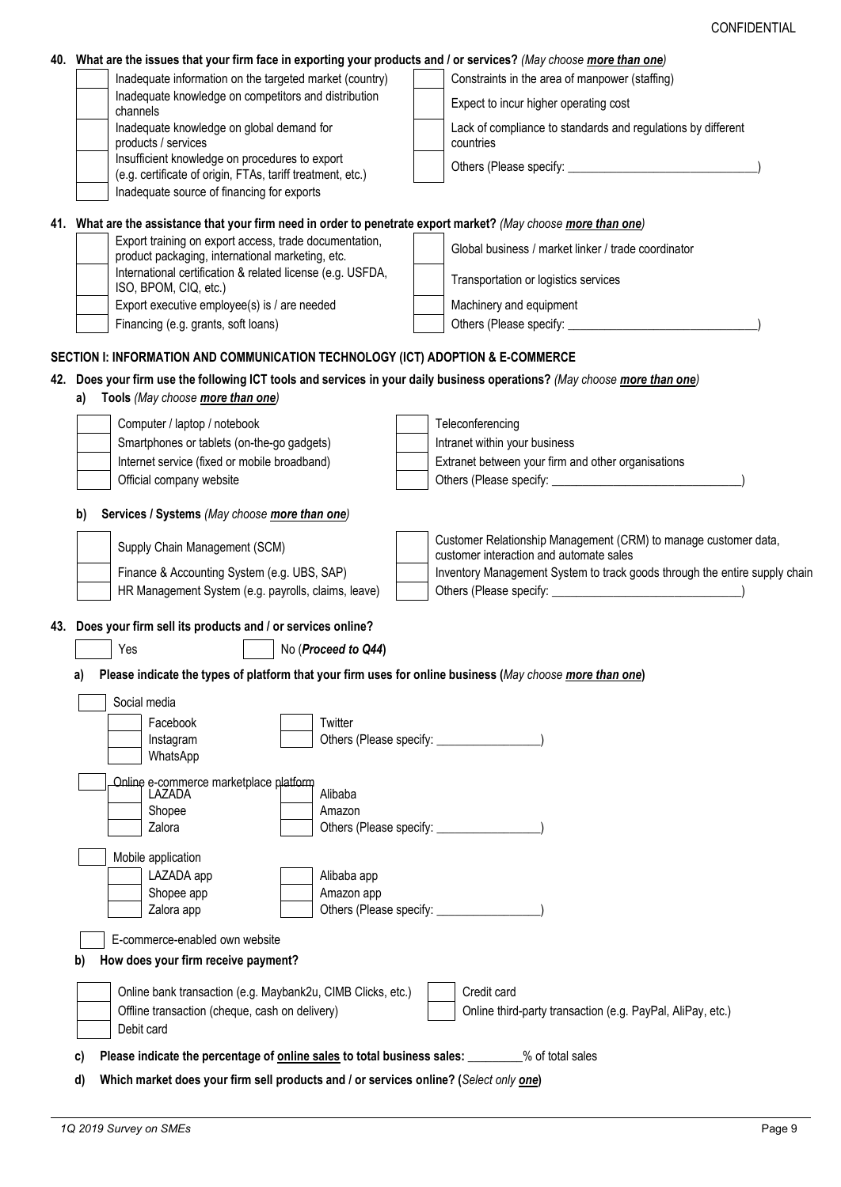|          | 40. What are the issues that your firm face in exporting your products and / or services? (May choose more than one)                                                                             |                                                                                                            |  |  |
|----------|--------------------------------------------------------------------------------------------------------------------------------------------------------------------------------------------------|------------------------------------------------------------------------------------------------------------|--|--|
|          | Inadequate information on the targeted market (country)                                                                                                                                          | Constraints in the area of manpower (staffing)                                                             |  |  |
|          | Inadequate knowledge on competitors and distribution<br>channels                                                                                                                                 | Expect to incur higher operating cost                                                                      |  |  |
|          | Inadequate knowledge on global demand for<br>products / services                                                                                                                                 | Lack of compliance to standards and regulations by different<br>countries                                  |  |  |
|          | Insufficient knowledge on procedures to export<br>(e.g. certificate of origin, FTAs, tariff treatment, etc.)                                                                                     |                                                                                                            |  |  |
|          | Inadequate source of financing for exports                                                                                                                                                       |                                                                                                            |  |  |
|          | 41. What are the assistance that your firm need in order to penetrate export market? (May choose more than one)                                                                                  |                                                                                                            |  |  |
|          | Export training on export access, trade documentation,<br>product packaging, international marketing, etc.                                                                                       | Global business / market linker / trade coordinator                                                        |  |  |
|          | International certification & related license (e.g. USFDA,<br>ISO, BPOM, CIQ, etc.)                                                                                                              | Transportation or logistics services                                                                       |  |  |
|          | Export executive employee(s) is / are needed                                                                                                                                                     | Machinery and equipment                                                                                    |  |  |
|          | Financing (e.g. grants, soft loans)                                                                                                                                                              |                                                                                                            |  |  |
|          | SECTION I: INFORMATION AND COMMUNICATION TECHNOLOGY (ICT) ADOPTION & E-COMMERCE                                                                                                                  |                                                                                                            |  |  |
|          | 42. Does your firm use the following ICT tools and services in your daily business operations? (May choose <i>more than one</i> )                                                                |                                                                                                            |  |  |
| a)       | Tools (May choose more than one)                                                                                                                                                                 |                                                                                                            |  |  |
|          | Computer / laptop / notebook                                                                                                                                                                     | Teleconferencing                                                                                           |  |  |
|          | Smartphones or tablets (on-the-go gadgets)                                                                                                                                                       | Intranet within your business                                                                              |  |  |
|          | Internet service (fixed or mobile broadband)                                                                                                                                                     | Extranet between your firm and other organisations                                                         |  |  |
|          | Official company website                                                                                                                                                                         |                                                                                                            |  |  |
|          |                                                                                                                                                                                                  |                                                                                                            |  |  |
| b)       | Services / Systems (May choose more than one)                                                                                                                                                    |                                                                                                            |  |  |
|          | Supply Chain Management (SCM)                                                                                                                                                                    | Customer Relationship Management (CRM) to manage customer data,<br>customer interaction and automate sales |  |  |
|          | Finance & Accounting System (e.g. UBS, SAP)                                                                                                                                                      | Inventory Management System to track goods through the entire supply chain                                 |  |  |
|          | HR Management System (e.g. payrolls, claims, leave)                                                                                                                                              |                                                                                                            |  |  |
|          | 43. Does your firm sell its products and / or services online?                                                                                                                                   |                                                                                                            |  |  |
|          | Yes<br>No (Proceed to Q44)                                                                                                                                                                       |                                                                                                            |  |  |
|          |                                                                                                                                                                                                  |                                                                                                            |  |  |
| a)       | Please indicate the types of platform that your firm uses for online business (May choose more than one)                                                                                         |                                                                                                            |  |  |
|          | Social media                                                                                                                                                                                     |                                                                                                            |  |  |
|          | Facebook<br>Twitter<br>Instagram                                                                                                                                                                 | Others (Please specify:                                                                                    |  |  |
|          | WhatsApp                                                                                                                                                                                         |                                                                                                            |  |  |
|          | Online e-commerce marketplace platform                                                                                                                                                           |                                                                                                            |  |  |
|          | Alibaba<br>LAZADA                                                                                                                                                                                |                                                                                                            |  |  |
|          | Shopee<br>Amazon                                                                                                                                                                                 |                                                                                                            |  |  |
|          | Zalora                                                                                                                                                                                           |                                                                                                            |  |  |
|          | Mobile application                                                                                                                                                                               |                                                                                                            |  |  |
|          | LAZADA app<br>Alibaba app                                                                                                                                                                        |                                                                                                            |  |  |
|          | Shopee app<br>Amazon app                                                                                                                                                                         |                                                                                                            |  |  |
|          | Zalora app                                                                                                                                                                                       |                                                                                                            |  |  |
|          | E-commerce-enabled own website                                                                                                                                                                   |                                                                                                            |  |  |
| b)       | How does your firm receive payment?                                                                                                                                                              |                                                                                                            |  |  |
|          |                                                                                                                                                                                                  | Credit card                                                                                                |  |  |
|          | Online bank transaction (e.g. Maybank2u, CIMB Clicks, etc.)<br>Offline transaction (cheque, cash on delivery)                                                                                    | Online third-party transaction (e.g. PayPal, AliPay, etc.)                                                 |  |  |
|          | Debit card                                                                                                                                                                                       |                                                                                                            |  |  |
|          |                                                                                                                                                                                                  |                                                                                                            |  |  |
| C)<br>d) | Please indicate the percentage of <b>online sales</b> to total business sales: ________% of total sales<br>Which market does your firm sell products and / or services online? (Select only one) |                                                                                                            |  |  |
|          |                                                                                                                                                                                                  |                                                                                                            |  |  |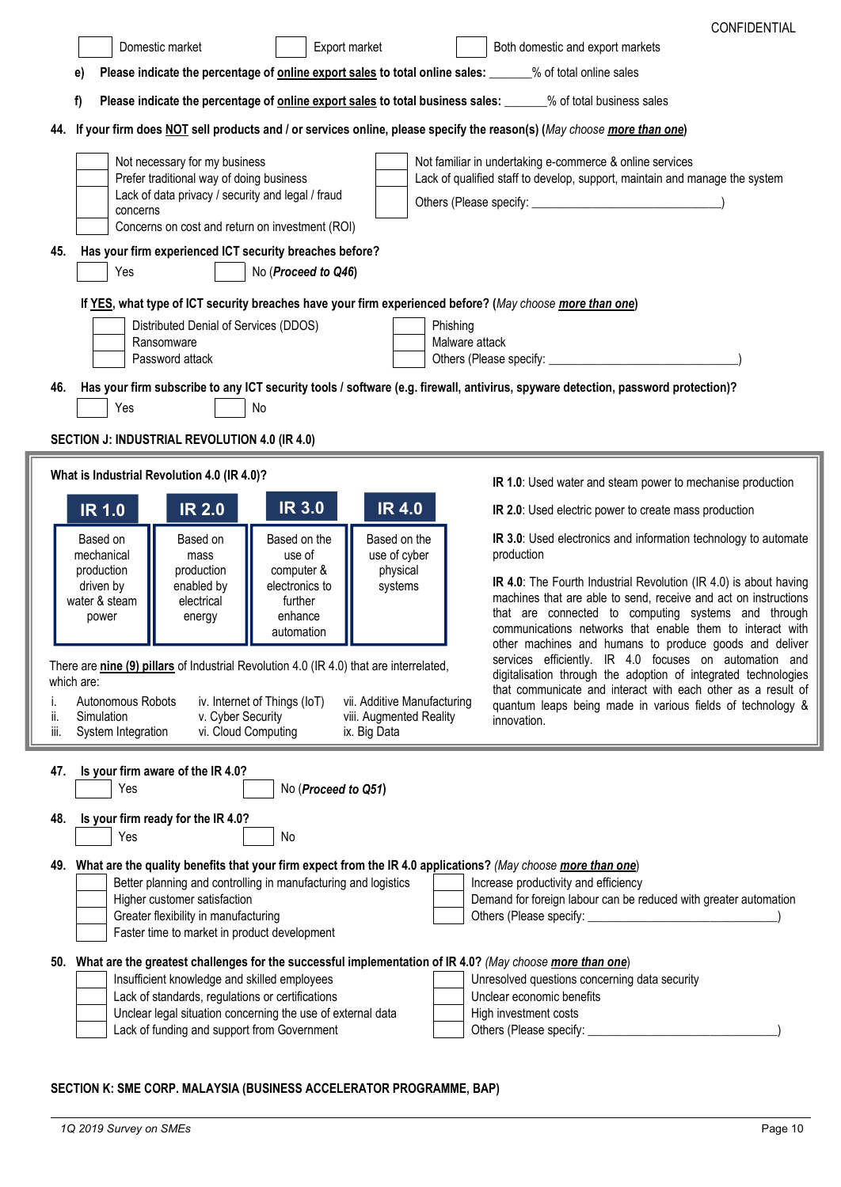| <b>CONFIDENTIAL</b><br>Domestic market<br>Export market<br>Both domestic and export markets<br>Please indicate the percentage of online export sales to total online sales: _____% of total online sales<br>Please indicate the percentage of online export sales to total business sales: _____% of total business sales<br>If your firm does NOT sell products and / or services online, please specify the reason(s) (May choose more than one)<br>Not necessary for my business<br>Not familiar in undertaking e-commerce & online services |
|-------------------------------------------------------------------------------------------------------------------------------------------------------------------------------------------------------------------------------------------------------------------------------------------------------------------------------------------------------------------------------------------------------------------------------------------------------------------------------------------------------------------------------------------------|
|                                                                                                                                                                                                                                                                                                                                                                                                                                                                                                                                                 |
|                                                                                                                                                                                                                                                                                                                                                                                                                                                                                                                                                 |
|                                                                                                                                                                                                                                                                                                                                                                                                                                                                                                                                                 |
|                                                                                                                                                                                                                                                                                                                                                                                                                                                                                                                                                 |
|                                                                                                                                                                                                                                                                                                                                                                                                                                                                                                                                                 |
| Prefer traditional way of doing business<br>Lack of qualified staff to develop, support, maintain and manage the system                                                                                                                                                                                                                                                                                                                                                                                                                         |
| Lack of data privacy / security and legal / fraud                                                                                                                                                                                                                                                                                                                                                                                                                                                                                               |
| concerns<br>Concerns on cost and return on investment (ROI)                                                                                                                                                                                                                                                                                                                                                                                                                                                                                     |
| Has your firm experienced ICT security breaches before?                                                                                                                                                                                                                                                                                                                                                                                                                                                                                         |
| No (Proceed to Q46)<br>Yes                                                                                                                                                                                                                                                                                                                                                                                                                                                                                                                      |
| If YES, what type of ICT security breaches have your firm experienced before? (May choose more than one)                                                                                                                                                                                                                                                                                                                                                                                                                                        |
| Distributed Denial of Services (DDOS)<br>Phishing                                                                                                                                                                                                                                                                                                                                                                                                                                                                                               |
| Ransomware<br>Malware attack<br>Password attack                                                                                                                                                                                                                                                                                                                                                                                                                                                                                                 |
| Has your firm subscribe to any ICT security tools / software (e.g. firewall, antivirus, spyware detection, password protection)?                                                                                                                                                                                                                                                                                                                                                                                                                |
| Yes<br>No                                                                                                                                                                                                                                                                                                                                                                                                                                                                                                                                       |
| SECTION J: INDUSTRIAL REVOLUTION 4.0 (IR 4.0)                                                                                                                                                                                                                                                                                                                                                                                                                                                                                                   |
| What is Industrial Revolution 4.0 (IR 4.0)?                                                                                                                                                                                                                                                                                                                                                                                                                                                                                                     |
| IR 1.0: Used water and steam power to mechanise production                                                                                                                                                                                                                                                                                                                                                                                                                                                                                      |
| <b>IR 3.0</b><br><b>IR 4.0</b><br><b>IR 2.0</b><br><b>IR 1.0</b><br>IR 2.0: Used electric power to create mass production                                                                                                                                                                                                                                                                                                                                                                                                                       |
| Based on the<br>Based on the<br>IR 3.0: Used electronics and information technology to automate<br>Based on<br>Based on<br>production<br>mechanical<br>use of<br>use of cyber<br>mass                                                                                                                                                                                                                                                                                                                                                           |
| production<br>production<br>computer &<br>physical<br>IR 4.0: The Fourth Industrial Revolution (IR 4.0) is about having                                                                                                                                                                                                                                                                                                                                                                                                                         |
| enabled by<br>electronics to<br>driven by<br>systems<br>machines that are able to send, receive and act on instructions<br>water & steam<br>electrical<br>further                                                                                                                                                                                                                                                                                                                                                                               |
| that are connected to computing systems and through<br>enhance<br>power<br>energy<br>communications networks that enable them to interact with<br>automation                                                                                                                                                                                                                                                                                                                                                                                    |
| other machines and humans to produce goods and deliver<br>services efficiently. IR 4.0 focuses on automation and                                                                                                                                                                                                                                                                                                                                                                                                                                |
| There are nine (9) pillars of Industrial Revolution 4.0 (IR 4.0) that are interrelated,<br>digitalisation through the adoption of integrated technologies<br>which are:                                                                                                                                                                                                                                                                                                                                                                         |
| that communicate and interact with each other as a result of<br>Autonomous Robots<br>iv. Internet of Things (IoT)<br>vii. Additive Manufacturing<br>quantum leaps being made in various fields of technology &                                                                                                                                                                                                                                                                                                                                  |
| v. Cyber Security<br>Simulation<br>viii. Augmented Reality<br>innovation.<br>vi. Cloud Computing<br>System Integration<br>ix. Big Data                                                                                                                                                                                                                                                                                                                                                                                                          |
|                                                                                                                                                                                                                                                                                                                                                                                                                                                                                                                                                 |
| Is your firm aware of the IR 4.0?<br>Yes<br>No (Proceed to Q51)                                                                                                                                                                                                                                                                                                                                                                                                                                                                                 |
|                                                                                                                                                                                                                                                                                                                                                                                                                                                                                                                                                 |
| Is your firm ready for the IR 4.0?<br>No<br>Yes                                                                                                                                                                                                                                                                                                                                                                                                                                                                                                 |
| 49. What are the quality benefits that your firm expect from the IR 4.0 applications? (May choose more than one)                                                                                                                                                                                                                                                                                                                                                                                                                                |
| Better planning and controlling in manufacturing and logistics<br>Increase productivity and efficiency                                                                                                                                                                                                                                                                                                                                                                                                                                          |
| Higher customer satisfaction<br>Demand for foreign labour can be reduced with greater automation<br>Greater flexibility in manufacturing<br>Others (Please specify:                                                                                                                                                                                                                                                                                                                                                                             |
| Faster time to market in product development                                                                                                                                                                                                                                                                                                                                                                                                                                                                                                    |
|                                                                                                                                                                                                                                                                                                                                                                                                                                                                                                                                                 |
| What are the greatest challenges for the successful implementation of IR 4.0? (May choose more than one)                                                                                                                                                                                                                                                                                                                                                                                                                                        |
| Insufficient knowledge and skilled employees<br>Unresolved questions concerning data security                                                                                                                                                                                                                                                                                                                                                                                                                                                   |
| Lack of standards, regulations or certifications<br>Unclear economic benefits<br>Unclear legal situation concerning the use of external data<br>High investment costs<br>Lack of funding and support from Government<br>Others (Please specify:                                                                                                                                                                                                                                                                                                 |

# **SECTION K: SME CORP. MALAYSIA (BUSINESS ACCELERATOR PROGRAMME, BAP)**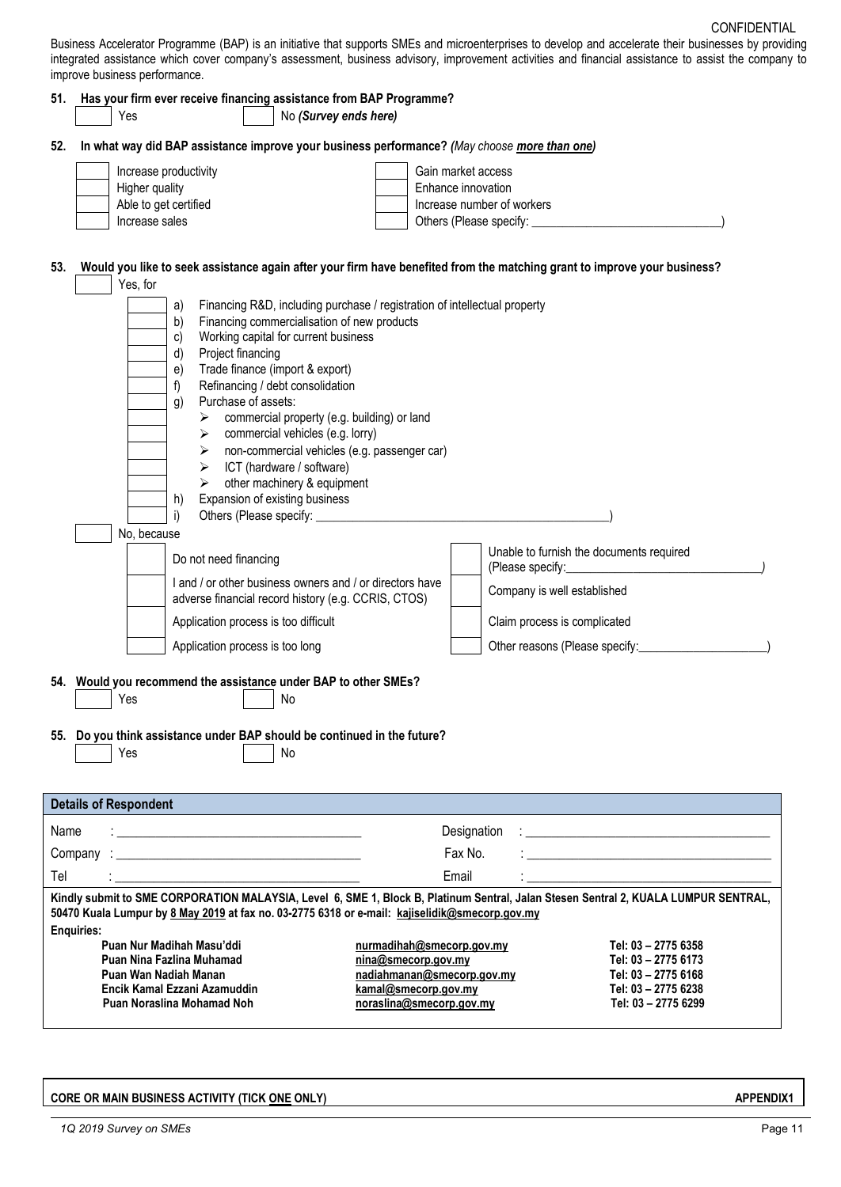Business Accelerator Programme (BAP) is an initiative that supports SMEs and microenterprises to develop and accelerate their businesses by providing integrated assistance which cover company's assessment, business advisory, improvement activities and financial assistance to assist the company to improve business performance.

|      | 51. Has your firm ever receive financing assistance from BAP Programme?<br>Yes<br>No (Survey ends here)                                                                                                                                                                                                                                                                                                                                                                                                                                                                                                                                                       |                                                                   |
|------|---------------------------------------------------------------------------------------------------------------------------------------------------------------------------------------------------------------------------------------------------------------------------------------------------------------------------------------------------------------------------------------------------------------------------------------------------------------------------------------------------------------------------------------------------------------------------------------------------------------------------------------------------------------|-------------------------------------------------------------------|
|      | In what way did BAP assistance improve your business performance? (May choose more than one)                                                                                                                                                                                                                                                                                                                                                                                                                                                                                                                                                                  |                                                                   |
|      | Increase productivity                                                                                                                                                                                                                                                                                                                                                                                                                                                                                                                                                                                                                                         | Gain market access                                                |
|      | Higher quality                                                                                                                                                                                                                                                                                                                                                                                                                                                                                                                                                                                                                                                | Enhance innovation                                                |
|      | Able to get certified                                                                                                                                                                                                                                                                                                                                                                                                                                                                                                                                                                                                                                         | Increase number of workers                                        |
|      | Increase sales                                                                                                                                                                                                                                                                                                                                                                                                                                                                                                                                                                                                                                                |                                                                   |
|      | Would you like to seek assistance again after your firm have benefited from the matching grant to improve your business?<br>Yes, for<br>Financing R&D, including purchase / registration of intellectual property<br>a)<br>Financing commercialisation of new products<br>b)<br>Working capital for current business<br>c)<br>Project financing<br>d)<br>Trade finance (import & export)<br>e)<br>f)<br>Refinancing / debt consolidation<br>Purchase of assets:<br>g)<br>commercial property (e.g. building) or land<br>$\triangleright$ commercial vehicles (e.g. lorry)<br>> non-commercial vehicles (e.g. passenger car)<br>ICT (hardware / software)<br>➤ |                                                                   |
|      | other machinery & equipment<br>➤<br>Expansion of existing business<br>h)<br>i)<br>No, because                                                                                                                                                                                                                                                                                                                                                                                                                                                                                                                                                                 |                                                                   |
|      | Do not need financing                                                                                                                                                                                                                                                                                                                                                                                                                                                                                                                                                                                                                                         | Unable to furnish the documents required                          |
|      | I and / or other business owners and / or directors have<br>adverse financial record history (e.g. CCRIS, CTOS)                                                                                                                                                                                                                                                                                                                                                                                                                                                                                                                                               | Company is well established                                       |
|      | Application process is too difficult                                                                                                                                                                                                                                                                                                                                                                                                                                                                                                                                                                                                                          | Claim process is complicated                                      |
|      | Application process is too long                                                                                                                                                                                                                                                                                                                                                                                                                                                                                                                                                                                                                               | Other reasons (Please specify: _______________                    |
|      | 54. Would you recommend the assistance under BAP to other SMEs?<br>Yes<br>No<br>55. Do you think assistance under BAP should be continued in the future?<br>Yes<br>No                                                                                                                                                                                                                                                                                                                                                                                                                                                                                         |                                                                   |
|      | <b>Details of Respondent</b>                                                                                                                                                                                                                                                                                                                                                                                                                                                                                                                                                                                                                                  |                                                                   |
| Name |                                                                                                                                                                                                                                                                                                                                                                                                                                                                                                                                                                                                                                                               | Designation<br><u> 1980 - John Stone, Amerikaansk politiker (</u> |
|      | Company                                                                                                                                                                                                                                                                                                                                                                                                                                                                                                                                                                                                                                                       | Fax No.                                                           |
|      |                                                                                                                                                                                                                                                                                                                                                                                                                                                                                                                                                                                                                                                               | Email                                                             |

**Puan Nina Fazlina Muhamad [nina@smecorp.gov.my](mailto:nina@smecorp.gov.my) Tel: 03 – 2775 6173 Puan Wan Nadiah Manan [nadiahmanan@smecorp.gov.my](mailto:nadiahmanan@smecorp.gov.my) Tel: 03 – 2775 6168 Encik Kamal Ezzani Azamuddin [kamal@smecorp.gov.my](mailto:kamal@smecorp.gov.my) Tel: 03 – 2775 6238 Puan Noraslina Mohamad Noh noraslina[@smecorp.gov.my](mailto:farah.yasmin@smecorp.gov.my) Tel: 03 – 2775 6299**

## **CORE OR MAIN BUSINESS ACTIVITY (TICK ONE ONLY) APPENDIX1**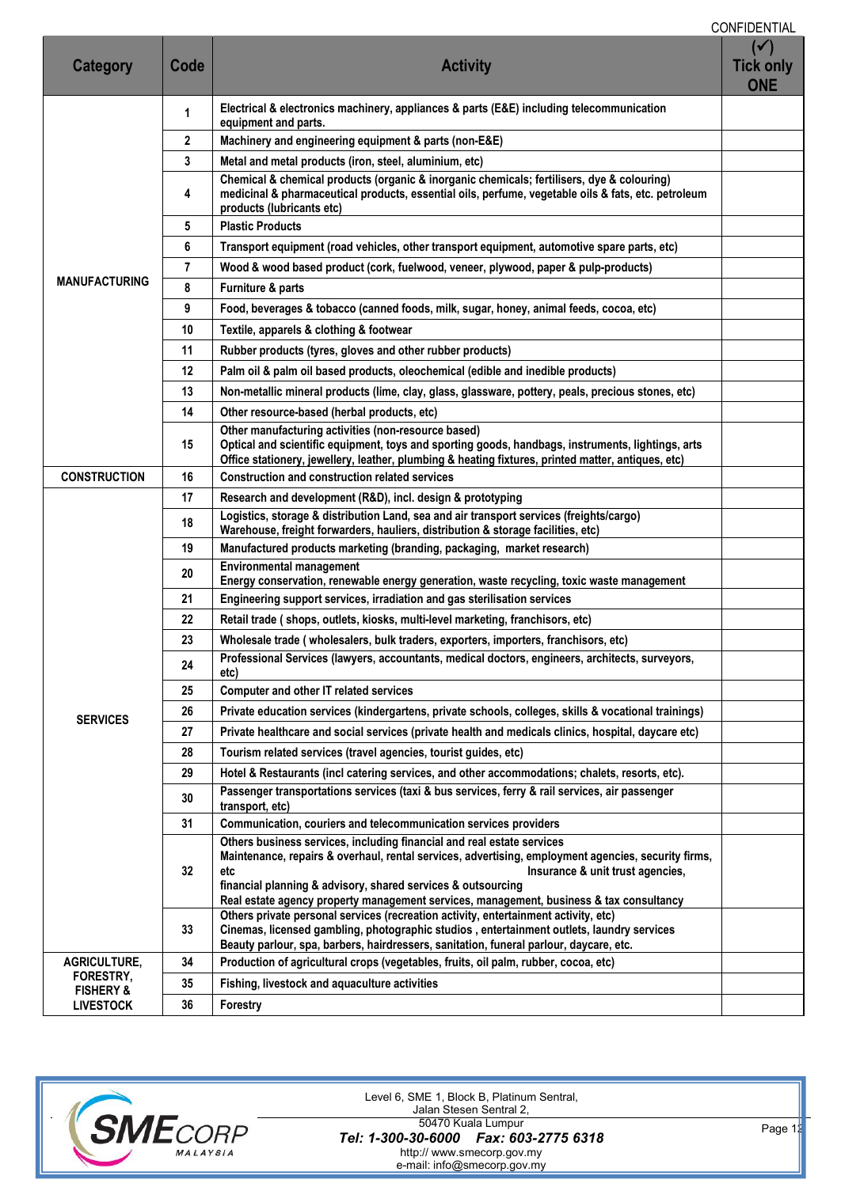CONFIDENTIAL

| <b>Category</b>                          | Code           | <b>Activity</b>                                                                                                                                                                                                                                                                                                                                                                     | $(\checkmark)$<br><b>Tick only</b><br><b>ONE</b> |  |  |  |
|------------------------------------------|----------------|-------------------------------------------------------------------------------------------------------------------------------------------------------------------------------------------------------------------------------------------------------------------------------------------------------------------------------------------------------------------------------------|--------------------------------------------------|--|--|--|
|                                          | 1              | Electrical & electronics machinery, appliances & parts (E&E) including telecommunication<br>equipment and parts.                                                                                                                                                                                                                                                                    |                                                  |  |  |  |
|                                          | $\mathbf{2}$   | Machinery and engineering equipment & parts (non-E&E)                                                                                                                                                                                                                                                                                                                               |                                                  |  |  |  |
|                                          | 3              | Metal and metal products (iron, steel, aluminium, etc)                                                                                                                                                                                                                                                                                                                              |                                                  |  |  |  |
|                                          | 4              | Chemical & chemical products (organic & inorganic chemicals; fertilisers, dye & colouring)<br>medicinal & pharmaceutical products, essential oils, perfume, vegetable oils & fats, etc. petroleum<br>products (lubricants etc)                                                                                                                                                      |                                                  |  |  |  |
|                                          | 5              | <b>Plastic Products</b>                                                                                                                                                                                                                                                                                                                                                             |                                                  |  |  |  |
|                                          | 6              | Transport equipment (road vehicles, other transport equipment, automotive spare parts, etc)                                                                                                                                                                                                                                                                                         |                                                  |  |  |  |
|                                          | $\overline{7}$ | Wood & wood based product (cork, fuelwood, veneer, plywood, paper & pulp-products)                                                                                                                                                                                                                                                                                                  |                                                  |  |  |  |
| <b>MANUFACTURING</b>                     | 8              | Furniture & parts                                                                                                                                                                                                                                                                                                                                                                   |                                                  |  |  |  |
|                                          | 9              | Food, beverages & tobacco (canned foods, milk, sugar, honey, animal feeds, cocoa, etc)                                                                                                                                                                                                                                                                                              |                                                  |  |  |  |
|                                          | 10             | Textile, apparels & clothing & footwear                                                                                                                                                                                                                                                                                                                                             |                                                  |  |  |  |
|                                          | 11             | Rubber products (tyres, gloves and other rubber products)                                                                                                                                                                                                                                                                                                                           |                                                  |  |  |  |
|                                          | 12             | Palm oil & palm oil based products, oleochemical (edible and inedible products)                                                                                                                                                                                                                                                                                                     |                                                  |  |  |  |
|                                          | 13             | Non-metallic mineral products (lime, clay, glass, glassware, pottery, peals, precious stones, etc)                                                                                                                                                                                                                                                                                  |                                                  |  |  |  |
|                                          | 14             | Other resource-based (herbal products, etc)                                                                                                                                                                                                                                                                                                                                         |                                                  |  |  |  |
|                                          | 15             | Other manufacturing activities (non-resource based)<br>Optical and scientific equipment, toys and sporting goods, handbags, instruments, lightings, arts<br>Office stationery, jewellery, leather, plumbing & heating fixtures, printed matter, antiques, etc)                                                                                                                      |                                                  |  |  |  |
| <b>CONSTRUCTION</b>                      | 16             | <b>Construction and construction related services</b>                                                                                                                                                                                                                                                                                                                               |                                                  |  |  |  |
|                                          | 17             | Research and development (R&D), incl. design & prototyping                                                                                                                                                                                                                                                                                                                          |                                                  |  |  |  |
|                                          | 18             | Logistics, storage & distribution Land, sea and air transport services (freights/cargo)<br>Warehouse, freight forwarders, hauliers, distribution & storage facilities, etc)                                                                                                                                                                                                         |                                                  |  |  |  |
|                                          | 19             | Manufactured products marketing (branding, packaging, market research)                                                                                                                                                                                                                                                                                                              |                                                  |  |  |  |
|                                          | 20             | <b>Environmental management</b><br>Energy conservation, renewable energy generation, waste recycling, toxic waste management                                                                                                                                                                                                                                                        |                                                  |  |  |  |
|                                          | 21             | Engineering support services, irradiation and gas sterilisation services                                                                                                                                                                                                                                                                                                            |                                                  |  |  |  |
|                                          | 22             | Retail trade (shops, outlets, kiosks, multi-level marketing, franchisors, etc)                                                                                                                                                                                                                                                                                                      |                                                  |  |  |  |
|                                          | 23             | Wholesale trade (wholesalers, bulk traders, exporters, importers, franchisors, etc)                                                                                                                                                                                                                                                                                                 |                                                  |  |  |  |
|                                          | 24             | Professional Services (lawyers, accountants, medical doctors, engineers, architects, surveyors,<br>etc)                                                                                                                                                                                                                                                                             |                                                  |  |  |  |
|                                          | 25             | Computer and other IT related services                                                                                                                                                                                                                                                                                                                                              |                                                  |  |  |  |
| <b>SERVICES</b>                          | 26             | Private education services (kindergartens, private schools, colleges, skills & vocational trainings)                                                                                                                                                                                                                                                                                |                                                  |  |  |  |
|                                          | 27             | Private healthcare and social services (private health and medicals clinics, hospital, daycare etc)                                                                                                                                                                                                                                                                                 |                                                  |  |  |  |
|                                          | 28             | Tourism related services (travel agencies, tourist guides, etc)                                                                                                                                                                                                                                                                                                                     |                                                  |  |  |  |
|                                          | 29             | Hotel & Restaurants (incl catering services, and other accommodations; chalets, resorts, etc).                                                                                                                                                                                                                                                                                      |                                                  |  |  |  |
|                                          | 30             | Passenger transportations services (taxi & bus services, ferry & rail services, air passenger<br>transport, etc)                                                                                                                                                                                                                                                                    |                                                  |  |  |  |
|                                          | 31             | Communication, couriers and telecommunication services providers                                                                                                                                                                                                                                                                                                                    |                                                  |  |  |  |
|                                          | 32             | Others business services, including financial and real estate services<br>Maintenance, repairs & overhaul, rental services, advertising, employment agencies, security firms,<br>Insurance & unit trust agencies,<br>etc<br>financial planning & advisory, shared services & outsourcing<br>Real estate agency property management services, management, business & tax consultancy |                                                  |  |  |  |
|                                          | 33             | Others private personal services (recreation activity, entertainment activity, etc)<br>Cinemas, licensed gambling, photographic studios, entertainment outlets, laundry services<br>Beauty parlour, spa, barbers, hairdressers, sanitation, funeral parlour, daycare, etc.                                                                                                          |                                                  |  |  |  |
| AGRICULTURE,                             | 34             | Production of agricultural crops (vegetables, fruits, oil palm, rubber, cocoa, etc)                                                                                                                                                                                                                                                                                                 |                                                  |  |  |  |
| FORESTRY,                                | 35             | Fishing, livestock and aquaculture activities                                                                                                                                                                                                                                                                                                                                       |                                                  |  |  |  |
| <b>FISHERY &amp;</b><br><b>LIVESTOCK</b> | 36             | <b>Forestry</b>                                                                                                                                                                                                                                                                                                                                                                     |                                                  |  |  |  |
|                                          |                |                                                                                                                                                                                                                                                                                                                                                                                     |                                                  |  |  |  |



**10 2019** *Page 12 Page 12* Level 6, SME 1, Block B, Platinum Sentral, Jalan Stesen Sentral 2, 50470 Kuala Lumpur http:// www.smecorp.gov.my e-mail: info@smecorp.gov.my